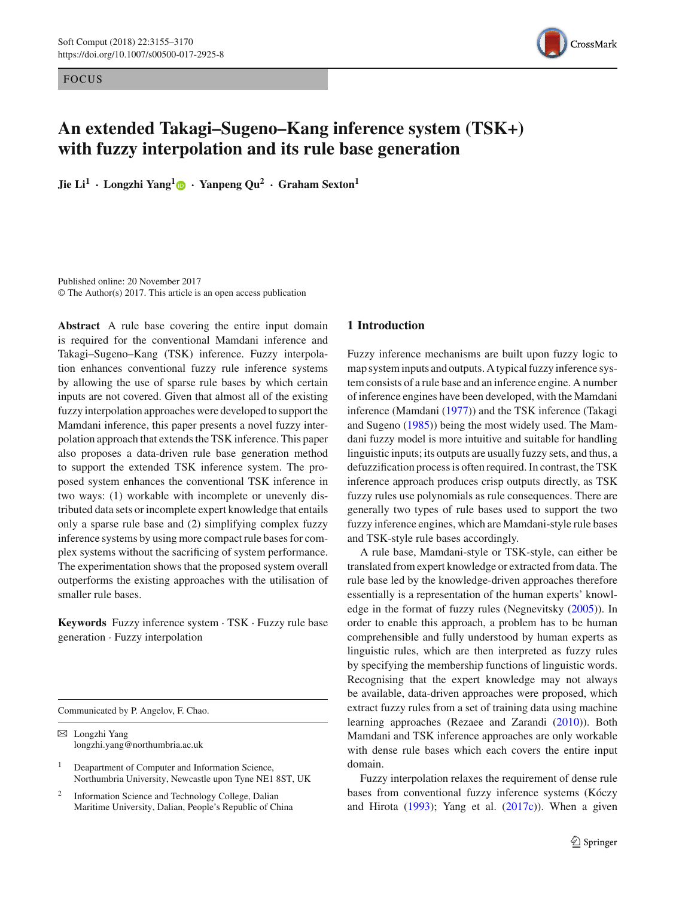**FOCUS** 



# **An extended Takagi–Sugeno–Kang inference system (TSK+) with fuzzy interpolation and its rule base generation**

**Jie Li<sup>1</sup> · Longzhi Yang[1](http://orcid.org/0000-0003-2115-4909) · Yanpeng Qu<sup>2</sup> · Graham Sexton<sup>1</sup>**

Published online: 20 November 2017 © The Author(s) 2017. This article is an open access publication

**Abstract** A rule base covering the entire input domain is required for the conventional Mamdani inference and Takagi–Sugeno–Kang (TSK) inference. Fuzzy interpolation enhances conventional fuzzy rule inference systems by allowing the use of sparse rule bases by which certain inputs are not covered. Given that almost all of the existing fuzzy interpolation approaches were developed to support the Mamdani inference, this paper presents a novel fuzzy interpolation approach that extends the TSK inference. This paper also proposes a data-driven rule base generation method to support the extended TSK inference system. The proposed system enhances the conventional TSK inference in two ways: (1) workable with incomplete or unevenly distributed data sets or incomplete expert knowledge that entails only a sparse rule base and (2) simplifying complex fuzzy inference systems by using more compact rule bases for complex systems without the sacrificing of system performance. The experimentation shows that the proposed system overall outperforms the existing approaches with the utilisation of smaller rule bases.

**Keywords** Fuzzy inference system · TSK · Fuzzy rule base generation · Fuzzy interpolation

Communicated by P. Angelov, F. Chao.

 $\boxtimes$  Longzhi Yang longzhi.yang@northumbria.ac.uk

- Deapartment of Computer and Information Science, Northumbria University, Newcastle upon Tyne NE1 8ST, UK
- <sup>2</sup> Information Science and Technology College, Dalian Maritime University, Dalian, People's Republic of China

## **1 Introduction**

Fuzzy inference mechanisms are built upon fuzzy logic to map system inputs and outputs. A typical fuzzy inference system consists of a rule base and an inference engine. A number of inference engines have been developed, with the Mamdani inference (Mamdan[i](#page-15-0) [\(1977\)](#page-15-0)) and the TSK inference (Takagi and Sugen[o](#page-15-1) [\(1985\)](#page-15-1)) being the most widely used. The Mamdani fuzzy model is more intuitive and suitable for handling linguistic inputs; its outputs are usually fuzzy sets, and thus, a defuzzification process is often required. In contrast, the TSK inference approach produces crisp outputs directly, as TSK fuzzy rules use polynomials as rule consequences. There are generally two types of rule bases used to support the two fuzzy inference engines, which are Mamdani-style rule bases and TSK-style rule bases accordingly.

A rule base, Mamdani-style or TSK-style, can either be translated from expert knowledge or extracted from data. The rule base led by the knowledge-driven approaches therefore essentially is a representation of the human experts' knowledge in the format of fuzzy rules (Negnevitsk[y](#page-15-2) [\(2005\)](#page-15-2)). In order to enable this approach, a problem has to be human comprehensible and fully understood by human experts as linguistic rules, which are then interpreted as fuzzy rules by specifying the membership functions of linguistic words. Recognising that the expert knowledge may not always be available, data-driven approaches were proposed, which extract fuzzy rules from a set of training data using machine learning approaches (Rezaee and Zarand[i](#page-15-3) [\(2010\)](#page-15-3)). Both Mamdani and TSK inference approaches are only workable with dense rule bases which each covers the entire input domain.

Fuzzy interpolation relaxes the requirement of dense rule bases from conventional fuzzy inference systems (Kóczy [a](#page-15-4)nd Hirota  $(1993)$  $(1993)$ ; Yang et al[.](#page-15-5)  $(2017c)$  $(2017c)$ ). When a given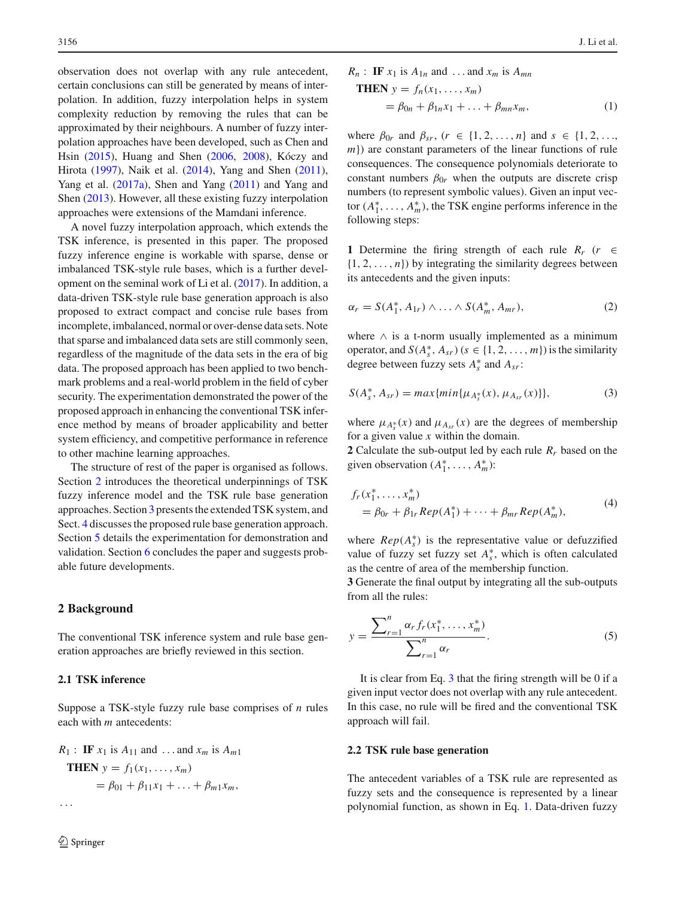observation does not overlap with any rule antecedent, certain conclusions can still be generated by means of interpolation. In addition, fuzzy interpolation helps in system complexity reduction by removing the rules that can be approximated by their neighbours. A number of fuzzy interpolation approaches have been developed, such as Chen and Hsi[n](#page-15-6) [\(2015\)](#page-15-6), Huang and She[n](#page-15-7) [\(2006,](#page-15-7) [2008\)](#page-15-8), Kóczy and Hirot[a](#page-15-9) [\(1997\)](#page-15-9), Naik et al[.](#page-15-10) [\(2014](#page-15-10)), Yang and She[n](#page-15-11) [\(2011](#page-15-11)), Yang et al[.](#page-15-12) [\(2017a](#page-15-12)), Shen and Yan[g](#page-15-13) [\(2011\)](#page-15-13) and Yang and She[n](#page-15-14) [\(2013\)](#page-15-14). However, all these existing fuzzy interpolation approaches were extensions of the Mamdani inference.

A novel fuzzy interpolation approach, which extends the TSK inference, is presented in this paper. The proposed fuzzy inference engine is workable with sparse, dense or imbalanced TSK-style rule bases, which is a further development on the seminal work of Li et al[.](#page-15-15) [\(2017\)](#page-15-15). In addition, a data-driven TSK-style rule base generation approach is also proposed to extract compact and concise rule bases from incomplete, imbalanced, normal or over-dense data sets. Note that sparse and imbalanced data sets are still commonly seen, regardless of the magnitude of the data sets in the era of big data. The proposed approach has been applied to two benchmark problems and a real-world problem in the field of cyber security. The experimentation demonstrated the power of the proposed approach in enhancing the conventional TSK inference method by means of broader applicability and better system efficiency, and competitive performance in reference to other machine learning approaches.

The structure of rest of the paper is organised as follows. Section [2](#page-1-0) introduces the theoretical underpinnings of TSK fuzzy inference model and the TSK rule base generation approaches. Section [3](#page-2-0) presents the extended TSK system, and Sect. [4](#page-3-0) discusses the proposed rule base generation approach. Section [5](#page-6-0) details the experimentation for demonstration and validation. Section [6](#page-12-0) concludes the paper and suggests probable future developments.

## <span id="page-1-0"></span>**2 Background**

The conventional TSK inference system and rule base generation approaches are briefly reviewed in this section.

## <span id="page-1-3"></span>**2.1 TSK inference**

Suppose a TSK-style fuzzy rule base comprises of *n* rules each with *m* antecedents:

$$
R_1: \text{ IF } x_1 \text{ is } A_{11} \text{ and } \dots \text{ and } x_m \text{ is } A_{m1}
$$
  
\n**THEN**  $y = f_1(x_1, ..., x_m)$   
\n $= \beta_{01} + \beta_{11}x_1 + ... + \beta_{m1}x_m,$   
\n...

<span id="page-1-2"></span>
$$
R_n: \text{IF } x_1 \text{ is } A_{1n} \text{ and } \dots \text{ and } x_m \text{ is } A_{mn}
$$
  
\n**THEN**  $y = f_n(x_1, \dots, x_m)$   
\n $= \beta_{0n} + \beta_{1n}x_1 + \dots + \beta_{mn}x_m,$  (1)

where  $\beta_{0r}$  and  $\beta_{sr}$ , ( $r \in \{1, 2, ..., n\}$  and  $s \in \{1, 2, ...,$ *m*}) are constant parameters of the linear functions of rule consequences. The consequence polynomials deteriorate to constant numbers  $\beta_{0r}$  when the outputs are discrete crisp numbers (to represent symbolic values). Given an input vector  $(A_1^*, \ldots, A_m^*)$ , the TSK engine performs inference in the following steps:

**1** Determine the firing strength of each rule  $R_r$  ( $r \in \mathbb{R}$  $\{1, 2, \ldots, n\}$ ) by integrating the similarity degrees between its antecedents and the given inputs:

<span id="page-1-4"></span>
$$
\alpha_r = S(A_1^*, A_{1r}) \wedge \ldots \wedge S(A_m^*, A_{mr}), \qquad (2)
$$

where  $\land$  is a t-norm usually implemented as a minimum operator, and  $S(A_s^*, A_{sr})$  ( $s \in \{1, 2, ..., m\}$ ) is the similarity degree between fuzzy sets  $A_s^*$  and  $A_{sr}$ :

<span id="page-1-1"></span>
$$
S(A_s^*, A_{sr}) = max\{min\{\mu_{A_s^*}(x), \mu_{A_{sr}}(x)\}\},
$$
\n(3)

where  $\mu_{A_s^*}(x)$  and  $\mu_{A_{sr}}(x)$  are the degrees of membership for a given value *x* within the domain.

<span id="page-1-5"></span>**2** Calculate the sub-output led by each rule  $R_r$  based on the given observation  $(A_1^*, \ldots, A_m^*)$ :

$$
f_r(x_1^*, \dots, x_m^*)
$$
  
=  $\beta_{0r} + \beta_{1r} Rep(A_1^*) + \dots + \beta_{mr} Rep(A_m^*),$  (4)

where  $Rep(A_s^*)$  is the representative value or defuzzified value of fuzzy set fuzzy set  $A_s^*$ , which is often calculated as the centre of area of the membership function.

<span id="page-1-6"></span>**3** Generate the final output by integrating all the sub-outputs from all the rules:

$$
y = \frac{\sum_{r=1}^{n} \alpha_r f_r(x_1^*, \dots, x_m^*)}{\sum_{r=1}^{n} \alpha_r}.
$$
 (5)

It is clear from Eq. [3](#page-1-1) that the firing strength will be 0 if a given input vector does not overlap with any rule antecedent. In this case, no rule will be fired and the conventional TSK approach will fail.

#### **2.2 TSK rule base generation**

The antecedent variables of a TSK rule are represented as fuzzy sets and the consequence is represented by a linear polynomial function, as shown in Eq. [1.](#page-1-2) Data-driven fuzzy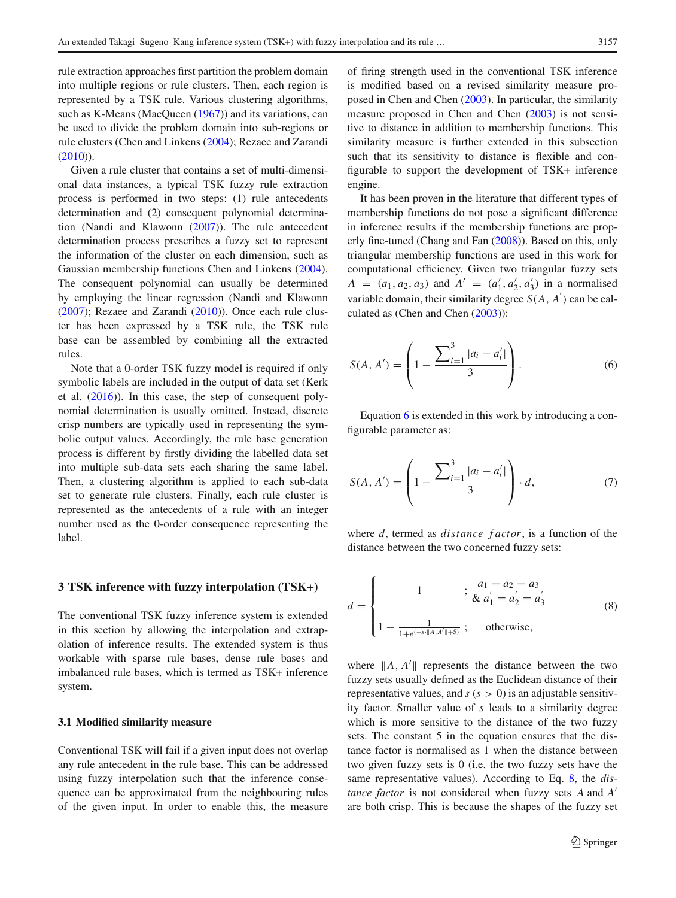rule extraction approaches first partition the problem domain into multiple regions or rule clusters. Then, each region is represented by a TSK rule. Various clustering algorithms, such as K-Mea[n](#page-15-16)s (MacQueen [\(1967](#page-15-16))) and its variations, can be used to divide the problem domain into sub-regions or rule clusters (Chen and Linken[s](#page-15-17) [\(2004](#page-15-17)); Rezaee and Zarand[i](#page-15-3)  $(2010)$  $(2010)$ ).

Given a rule cluster that contains a set of multi-dimensional data instances, a typical TSK fuzzy rule extraction process is performed in two steps: (1) rule antecedents determination and (2) consequent polynomial determination (Nandi and Klawon[n](#page-15-18) [\(2007\)](#page-15-18)). The rule antecedent determination process prescribes a fuzzy set to represent the information of the cluster on each dimension, such as Gaussian membership functions Chen and Linken[s](#page-15-17) [\(2004](#page-15-17)). The consequent polynomial can usually be determined by employing the linear regression (Nandi and Klawon[n](#page-15-18) [\(2007](#page-15-18)); Rezaee and Zarand[i](#page-15-3) [\(2010\)](#page-15-3)). Once each rule cluster has been expressed by a TSK rule, the TSK rule base can be assembled by combining all the extracted rules.

Note that a 0-order TSK fuzzy model is required if only symbolic labels are included in the output of data set (Kerk et al[.](#page-15-19) [\(2016\)](#page-15-19)). In this case, the step of consequent polynomial determination is usually omitted. Instead, discrete crisp numbers are typically used in representing the symbolic output values. Accordingly, the rule base generation process is different by firstly dividing the labelled data set into multiple sub-data sets each sharing the same label. Then, a clustering algorithm is applied to each sub-data set to generate rule clusters. Finally, each rule cluster is represented as the antecedents of a rule with an integer number used as the 0-order consequence representing the label.

#### <span id="page-2-0"></span>**3 TSK inference with fuzzy interpolation (TSK+)**

The conventional TSK fuzzy inference system is extended in this section by allowing the interpolation and extrapolation of inference results. The extended system is thus workable with sparse rule bases, dense rule bases and imbalanced rule bases, which is termed as TSK+ inference system.

#### **3.1 Modified similarity measure**

Conventional TSK will fail if a given input does not overlap any rule antecedent in the rule base. This can be addressed using fuzzy interpolation such that the inference consequence can be approximated from the neighbouring rules of the given input. In order to enable this, the measure of firing strength used in the conventional TSK inference is modified based on a revised similarity measure proposed in Chen and Che[n](#page-15-20) [\(2003](#page-15-20)). In particular, the similarity measure proposed in Chen and Che[n](#page-15-20) [\(2003\)](#page-15-20) is not sensitive to distance in addition to membership functions. This similarity measure is further extended in this subsection such that its sensitivity to distance is flexible and configurable to support the development of TSK+ inference engine.

It has been proven in the literature that different types of membership functions do not pose a significant difference in inference results if the membership functions are properly fine-tuned (Chang and Fa[n](#page-15-21) [\(2008](#page-15-21))). Based on this, only triangular membership functions are used in this work for computational efficiency. Given two triangular fuzzy sets *A* = (*a*<sub>1</sub>, *a*<sub>2</sub>, *a*<sub>3</sub>) and *A*<sup> $\prime$ </sup> = (*a*<sub>1</sub><sup> $\prime$ </sup>, *a*<sub>2</sub><sup> $\prime$ </sup>, *a*<sub>3</sub><sup> $\prime$ </sup>) in a normalised variable domain, their similarity degree  $S(A, A)$  can be calculated as (Chen and Che[n](#page-15-20) [\(2003\)](#page-15-20)):

<span id="page-2-1"></span>
$$
S(A, A') = \left(1 - \frac{\sum_{i=1}^{3} |a_i - a'_i|}{3}\right).
$$
 (6)

<span id="page-2-3"></span>Equation [6](#page-2-1) is extended in this work by introducing a configurable parameter as:

$$
S(A, A') = \left(1 - \frac{\sum_{i=1}^{3} |a_i - a'_i|}{3}\right) \cdot d,\tag{7}
$$

<span id="page-2-2"></span>where *d*, termed as *distance f actor*, is a function of the distance between the two concerned fuzzy sets:

$$
d = \begin{cases} 1 & ; \ a_1 = a_2 = a_3 \\ 1 & ; \ \& \ a_1^{'} = a_2^{'} = a_3^{'} \\ 1 - \frac{1}{1 + e^{(-s \cdot ||A, A'|| + 5)}} ; & \text{otherwise,} \end{cases}
$$
 (8)

where  $||A, A'||$  represents the distance between the two fuzzy sets usually defined as the Euclidean distance of their representative values, and  $s(s > 0)$  is an adjustable sensitivity factor. Smaller value of *s* leads to a similarity degree which is more sensitive to the distance of the two fuzzy sets. The constant 5 in the equation ensures that the distance factor is normalised as 1 when the distance between two given fuzzy sets is 0 (i.e. the two fuzzy sets have the same representative values). According to Eq. [8,](#page-2-2) the *distance factor* is not considered when fuzzy sets *A* and *A* are both crisp. This is because the shapes of the fuzzy set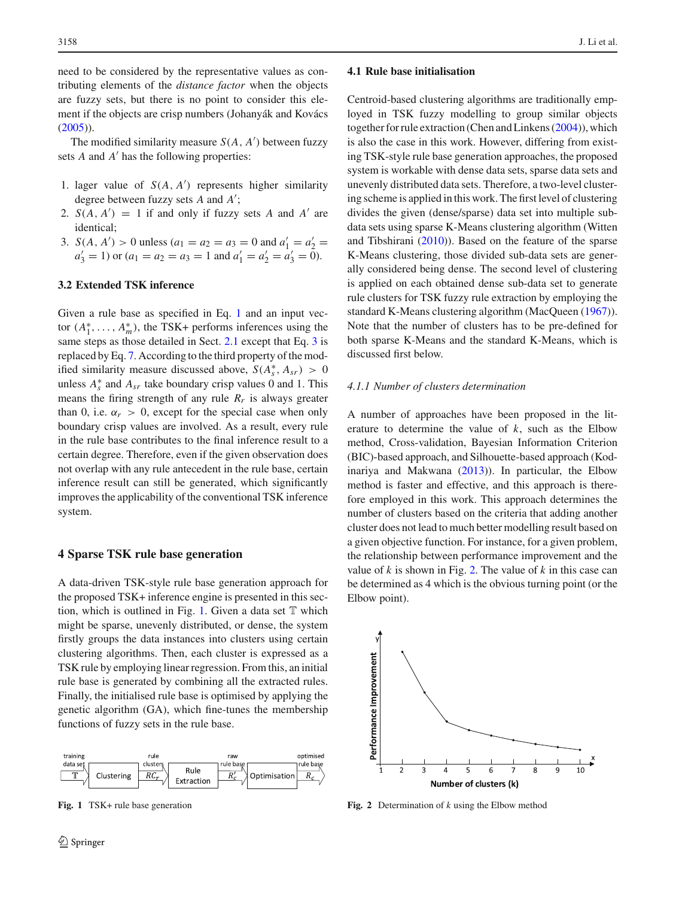need to be considered by the representative values as contributing elements of the *distance factor* when the objects are fuzzy sets, but there is no point to consider this element if the objects are crisp numbers (Johanyák and Kovác[s](#page-15-22)  $(2005)$  $(2005)$ ).

The modified similarity measure *S*(*A*, *A* ) between fuzzy sets *A* and *A'* has the following properties:

- 1. lager value of  $S(A, A')$  represents higher similarity degree between fuzzy sets *A* and *A* ;
- 2.  $S(A, A') = 1$  if and only if fuzzy sets *A* and *A'* are identical;
- 3. *S*(*A*, *A'*) > 0 unless ( $a_1 = a_2 = a_3 = 0$  and  $a'_1 = a'_2 = a'_3$  $a'_3 = 1$ ) or  $(a_1 = a_2 = a_3 = 1$  and  $a'_1 = a'_2 = a'_3 = 0$ .

## **3.2 Extended TSK inference**

Given a rule base as specified in Eq. [1](#page-1-2) and an input vector  $(A_1^*, \ldots, A_m^*)$ , the TSK+ performs inferences using the same steps as those detailed in Sect. [2.1](#page-1-3) except that Eq. [3](#page-1-1) is replaced by Eq. [7.](#page-2-3) According to the third property of the modified similarity measure discussed above,  $S(A_s^*, A_{sr}) > 0$ unless  $A_s^*$  and  $A_{sr}$  take boundary crisp values 0 and 1. This means the firing strength of any rule  $R_r$  is always greater than 0, i.e.  $\alpha_r > 0$ , except for the special case when only boundary crisp values are involved. As a result, every rule in the rule base contributes to the final inference result to a certain degree. Therefore, even if the given observation does not overlap with any rule antecedent in the rule base, certain inference result can still be generated, which significantly improves the applicability of the conventional TSK inference system.

#### <span id="page-3-0"></span>**4 Sparse TSK rule base generation**

A data-driven TSK-style rule base generation approach for the proposed TSK+ inference engine is presented in this sec-tion, which is outlined in Fig. [1.](#page-3-1) Given a data set  $T$  which might be sparse, unevenly distributed, or dense, the system firstly groups the data instances into clusters using certain clustering algorithms. Then, each cluster is expressed as a TSK rule by employing linear regression. From this, an initial rule base is generated by combining all the extracted rules. Finally, the initialised rule base is optimised by applying the genetic algorithm (GA), which fine-tunes the membership functions of fuzzy sets in the rule base.



<span id="page-3-1"></span>**Fig. 1** TSK+ rule base generation

#### **4.1 Rule base initialisation**

Centroid-based clustering algorithms are traditionally employed in TSK fuzzy modelling to group similar objects together for rule extraction (Chen and Linken[s](#page-15-17) [\(2004](#page-15-17))), which is also the case in this work. However, differing from existing TSK-style rule base generation approaches, the proposed system is workable with dense data sets, sparse data sets and unevenly distributed data sets. Therefore, a two-level clustering scheme is applied in this work. The first level of clustering divides the given (dense/sparse) data set into multiple subdata sets using sparse K-Means clustering algorithm (Witten and Tibshiran[i](#page-15-23) [\(2010](#page-15-23))). Based on the feature of the sparse K-Means clustering, those divided sub-data sets are generally considered being dense. The second level of clustering is applied on each obtained dense sub-data set to generate rule clusters for TSK fuzzy rule extraction by employing the standard K-Means clustering algorithm (MacQuee[n](#page-15-16) [\(1967](#page-15-16))). Note that the number of clusters has to be pre-defined for both sparse K-Means and the standard K-Means, which is discussed first below.

#### *4.1.1 Number of clusters determination*

A number of approaches have been proposed in the literature to determine the value of *k*, such as the Elbow method, Cross-validation, Bayesian Information Criterion (BIC)-based approach, and Silhouette-based approach (Kodinariya and Makwan[a](#page-15-24) [\(2013\)](#page-15-24)). In particular, the Elbow method is faster and effective, and this approach is therefore employed in this work. This approach determines the number of clusters based on the criteria that adding another cluster does not lead to much better modelling result based on a given objective function. For instance, for a given problem, the relationship between performance improvement and the value of *k* is shown in Fig. [2.](#page-3-2) The value of *k* in this case can be determined as 4 which is the obvious turning point (or the Elbow point).



<span id="page-3-2"></span>**Fig. 2** Determination of *k* using the Elbow method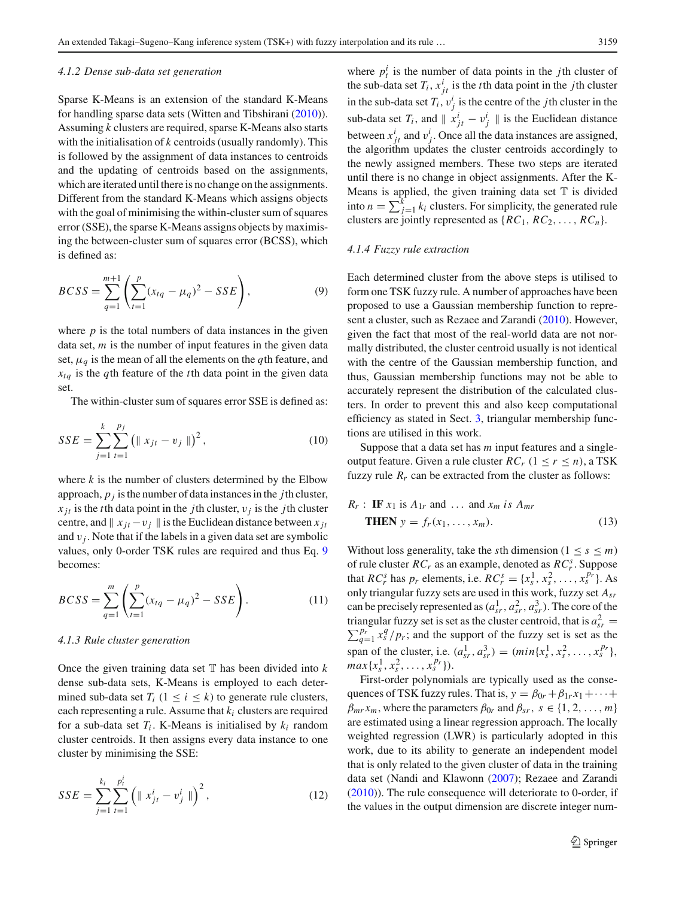<span id="page-4-1"></span>Sparse K-Means is an extension of the standard K-Means for handling sparse data sets (Witten and Tibshiran[i](#page-15-23) [\(2010](#page-15-23))). Assuming *k* clusters are required, sparse K-Means also starts with the initialisation of *k* centroids (usually randomly). This is followed by the assignment of data instances to centroids and the updating of centroids based on the assignments, which are iterated until there is no change on the assignments. Different from the standard K-Means which assigns objects with the goal of minimising the within-cluster sum of squares error (SSE), the sparse K-Means assigns objects by maximising the between-cluster sum of squares error (BCSS), which is defined as:

<span id="page-4-0"></span>
$$
BCSS = \sum_{q=1}^{m+1} \left( \sum_{t=1}^{p} (x_{tq} - \mu_q)^2 - SSE \right),
$$
 (9)

where  $p$  is the total numbers of data instances in the given data set, *m* is the number of input features in the given data set,  $\mu_q$  is the mean of all the elements on the *q*th feature, and *xtq* is the *q*th feature of the *t*th data point in the given data set.

The within-cluster sum of squares error SSE is defined as:

$$
SSE = \sum_{j=1}^{k} \sum_{t=1}^{p_j} (||x_{jt} - v_j||)^2, \qquad (10)
$$

where *k* is the number of clusters determined by the Elbow approach,  $p_j$  is the number of data instances in the *j*th cluster,  $x_{it}$  is the *t*th data point in the *j*th cluster,  $v_i$  is the *j*th cluster centre, and  $\parallel x_{it} - v_i \parallel$  is the Euclidean distance between  $x_{it}$ and  $v_j$ . Note that if the labels in a given data set are symbolic values, only 0-order TSK rules are required and thus Eq. [9](#page-4-0) becomes:

$$
BCSS = \sum_{q=1}^{m} \left( \sum_{t=1}^{p} (x_{tq} - \mu_q)^2 - SSE \right).
$$
 (11)

#### *4.1.3 Rule cluster generation*

Once the given training data set  $T$  has been divided into  $k$ dense sub-data sets, K-Means is employed to each determined sub-data set  $T_i$  ( $1 \le i \le k$ ) to generate rule clusters, each representing a rule. Assume that *ki* clusters are required for a sub-data set  $T_i$ . K-Means is initialised by  $k_i$  random cluster centroids. It then assigns every data instance to one cluster by minimising the SSE:

$$
SSE = \sum_{j=1}^{k_i} \sum_{t=1}^{p_t^i} \left( \| x_{jt}^i - v_j^i \| \right)^2, \tag{12}
$$

where  $p_t^i$  is the number of data points in the *j*th cluster of the sub-data set  $T_i$ ,  $x^i_{jt}$  is the *t*<sup>th</sup> data point in the *j*th cluster in the sub-data set  $T_i$ ,  $v_j^i$  is the centre of the *j*th cluster in the sub-data set  $T_i$ , and  $||x_{jt}^i - v_j^i||$  is the Euclidean distance between  $x_{jt}^i$  and  $v_j^i$ . Once all the data instances are assigned, the algorithm updates the cluster centroids accordingly to the newly assigned members. These two steps are iterated until there is no change in object assignments. After the K-Means is applied, the given training data set  $T$  is divided into  $n = \sum_{j=1}^{k} k_j$  clusters. For simplicity, the generated rule clusters are jointly represented as  $\{RC_1, RC_2, \ldots, RC_n\}$ .

## <span id="page-4-2"></span>*4.1.4 Fuzzy rule extraction*

Each determined cluster from the above steps is utilised to form one TSK fuzzy rule. A number of approaches have been proposed to use a Gaussian membership function to represent a cluster, such as Rezaee and Zarand[i](#page-15-3) [\(2010](#page-15-3)). However, given the fact that most of the real-world data are not normally distributed, the cluster centroid usually is not identical with the centre of the Gaussian membership function, and thus, Gaussian membership functions may not be able to accurately represent the distribution of the calculated clusters. In order to prevent this and also keep computational efficiency as stated in Sect. [3,](#page-2-0) triangular membership functions are utilised in this work.

Suppose that a data set has *m* input features and a singleoutput feature. Given a rule cluster  $RC_r$  ( $1 \le r \le n$ ), a TSK fuzzy rule  $R_r$  can be extracted from the cluster as follows:

$$
R_r: \text{IF } x_1 \text{ is } A_{1r} \text{ and } \dots \text{ and } x_m \text{ is } A_{mr}
$$
  
 **THEN**  $y = f_r(x_1, \dots, x_m).$  (13)

Without loss generality, take the *s*th dimension ( $1 \leq s \leq m$ ) of rule cluster *RCr* as an example, denoted as *RC<sup>s</sup> <sup>r</sup>* . Suppose that *RC*<sup>*s*</sup> has *p<sub>r</sub>* elements, i.e.  $RC_r^s = \{x_s^1, x_s^2, ..., x_s^{p_r}\}$ . As only triangular fuzzy sets are used in this work, fuzzy set *Asr* can be precisely represented as  $(a_{sr}^1, a_{sr}^2, a_{sr}^3)$ . The core of the triangular fuzzy set is set as the cluster centroid, that is  $a_{sr}^2$ *f* triangular fuzzy set is set as the cluster centroid, that is  $a_{sr}^r = \sum_{q=1}^{p_r} x_s^q / p_r$ ; and the support of the fuzzy set is set as the span of the cluster, i.e.  $(a_{sr}^1, a_{sr}^3) = (min\{x_s^1, x_s^2, ..., x_s^{p_r}\},\)$  $max{x_s^1, x_s^2, \ldots, x_s^{p_r}}.$ 

First-order polynomials are typically used as the consequences of TSK fuzzy rules. That is,  $y = \beta_{0r} + \beta_{1r}x_1 + \cdots$  $\beta_{mr} x_m$ , where the parameters  $\beta_{0r}$  and  $\beta_{sr}$ ,  $s \in \{1, 2, ..., m\}$ are estimated using a linear regression approach. The locally weighted regression (LWR) is particularly adopted in this work, due to its ability to generate an independent model that is only related to the given cluster of data in the training data set (Nandi and Klawon[n](#page-15-18) [\(2007](#page-15-18)); Rezaee and Zarand[i](#page-15-3) [\(2010](#page-15-3))). The rule consequence will deteriorate to 0-order, if the values in the output dimension are discrete integer num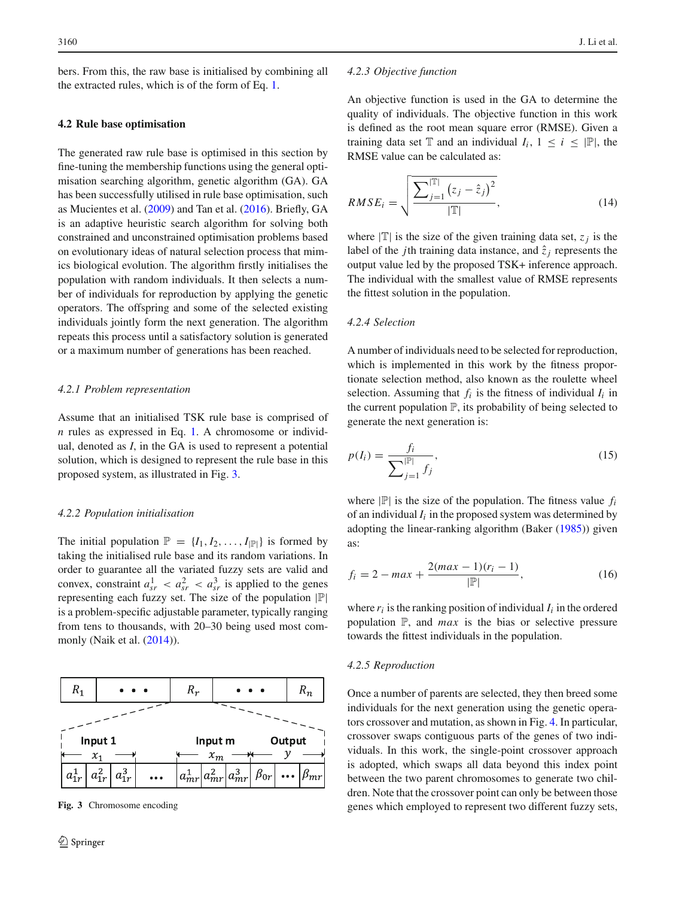bers. From this, the raw base is initialised by combining all the extracted rules, which is of the form of Eq. [1.](#page-1-2)

#### <span id="page-5-1"></span>**4.2 Rule base optimisation**

The generated raw rule base is optimised in this section by fine-tuning the membership functions using the general optimisation searching algorithm, genetic algorithm (GA). GA has been successfully utilised in rule base optimisation, such as Mucientes et al[.](#page-15-25) [\(2009](#page-15-25)) and Tan et al[.](#page-15-26) [\(2016\)](#page-15-26). Briefly, GA is an adaptive heuristic search algorithm for solving both constrained and unconstrained optimisation problems based on evolutionary ideas of natural selection process that mimics biological evolution. The algorithm firstly initialises the population with random individuals. It then selects a number of individuals for reproduction by applying the genetic operators. The offspring and some of the selected existing individuals jointly form the next generation. The algorithm repeats this process until a satisfactory solution is generated or a maximum number of generations has been reached.

## *4.2.1 Problem representation*

Assume that an initialised TSK rule base is comprised of *n* rules as expressed in Eq. [1.](#page-1-2) A chromosome or individual, denoted as *I*, in the GA is used to represent a potential solution, which is designed to represent the rule base in this proposed system, as illustrated in Fig. [3.](#page-5-0)

#### *4.2.2 Population initialisation*

The initial population  $\mathbb{P} = \{I_1, I_2, \ldots, I_{|\mathbb{P}|}\}\$ is formed by taking the initialised rule base and its random variations. In order to guarantee all the variated fuzzy sets are valid and convex, constraint  $a_{sr}^1 < a_{sr}^2 < a_{sr}^3$  is applied to the genes representing each fuzzy set. The size of the population  $|\mathbb{P}|$ is a problem-specific adjustable parameter, typically ranging from tens to thousands, with 20–30 being used most commonly (Naik et al[.](#page-15-10) [\(2014](#page-15-10))).



<span id="page-5-0"></span>**Fig. 3** Chromosome encoding

#### *4.2.3 Objective function*

An objective function is used in the GA to determine the quality of individuals. The objective function in this work is defined as the root mean square error (RMSE). Given a training data set  $\mathbb T$  and an individual  $I_i$ ,  $1 \le i \le |\mathbb P|$ , the RMSE value can be calculated as:

$$
RMSE_{i} = \sqrt{\frac{\sum_{j=1}^{|\mathbb{T}|} (z_{j} - \hat{z}_{j})^{2}}{|\mathbb{T}|}},
$$
\n(14)

where  $|\mathbb{T}|$  is the size of the given training data set,  $z_j$  is the label of the *j*th training data instance, and  $\hat{z}_i$  represents the output value led by the proposed TSK+ inference approach. The individual with the smallest value of RMSE represents the fittest solution in the population.

## *4.2.4 Selection*

A number of individuals need to be selected for reproduction, which is implemented in this work by the fitness proportionate selection method, also known as the roulette wheel selection. Assuming that  $f_i$  is the fitness of individual  $I_i$  in the current population  $\mathbb{P}$ , its probability of being selected to generate the next generation is:

$$
p(I_i) = \frac{f_i}{\sum_{j=1}^{|\mathbb{P}|} f_j},
$$
\n(15)

where  $|\mathbb{P}|$  is the size of the population. The fitness value  $f_i$ of an individual  $I_i$  in the proposed system was determined by adopting the linear-ranking algorithm (Bake[r](#page-15-27) [\(1985\)](#page-15-27)) given as:

$$
f_i = 2 - max + \frac{2(max - 1)(r_i - 1)}{|\mathbb{P}|},
$$
\n(16)

where  $r_i$  is the ranking position of individual  $I_i$  in the ordered population  $\mathbb{P}$ , and *max* is the bias or selective pressure towards the fittest individuals in the population.

#### *4.2.5 Reproduction*

Once a number of parents are selected, they then breed some individuals for the next generation using the genetic operators crossover and mutation, as shown in Fig. [4.](#page-6-1) In particular, crossover swaps contiguous parts of the genes of two individuals. In this work, the single-point crossover approach is adopted, which swaps all data beyond this index point between the two parent chromosomes to generate two children. Note that the crossover point can only be between those genes which employed to represent two different fuzzy sets,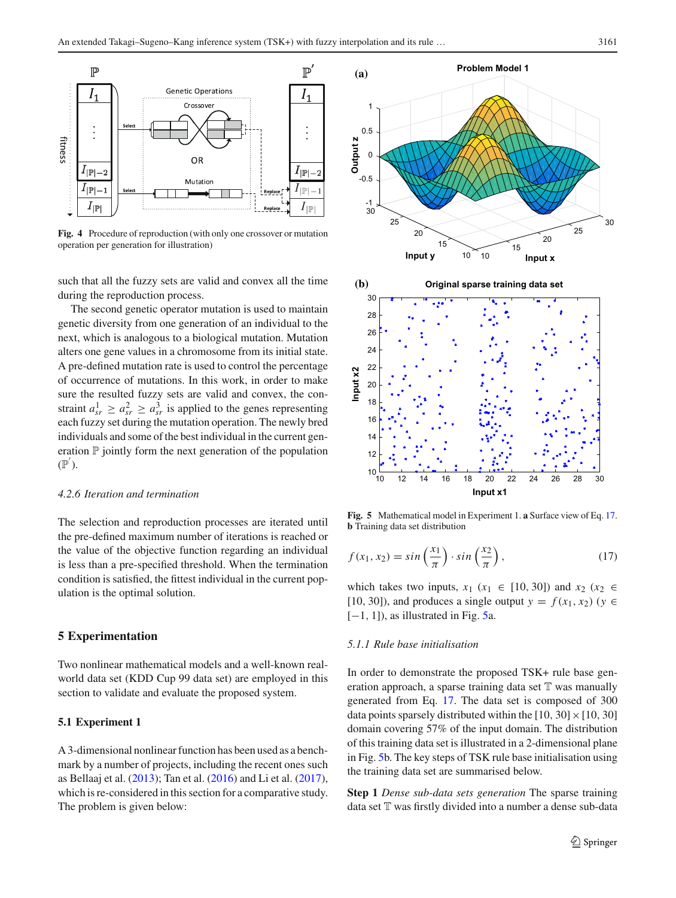

<span id="page-6-1"></span>**Fig. 4** Procedure of reproduction (with only one crossover or mutation operation per generation for illustration)

such that all the fuzzy sets are valid and convex all the time during the reproduction process.

The second genetic operator mutation is used to maintain genetic diversity from one generation of an individual to the next, which is analogous to a biological mutation. Mutation alters one gene values in a chromosome from its initial state. A pre-defined mutation rate is used to control the percentage of occurrence of mutations. In this work, in order to make sure the resulted fuzzy sets are valid and convex, the constraint  $a_{sr}^1 \ge a_{sr}^2 \ge a_{sr}^3$  is applied to the genes representing each fuzzy set during the mutation operation. The newly bred individuals and some of the best individual in the current generation  $P$  jointly form the next generation of the population  $(\mathbb{P}^{'}).$ 

#### *4.2.6 Iteration and termination*

The selection and reproduction processes are iterated until the pre-defined maximum number of iterations is reached or the value of the objective function regarding an individual is less than a pre-specified threshold. When the termination condition is satisfied, the fittest individual in the current population is the optimal solution.

## <span id="page-6-0"></span>**5 Experimentation**

Two nonlinear mathematical models and a well-known realworld data set (KDD Cup 99 data set) are employed in this section to validate and evaluate the proposed system.

#### **5.1 Experiment 1**

<span id="page-6-2"></span>A 3-dimensional nonlinear function has been used as a benchmark by a number of projects, including the recent ones such as Bellaaj et al[.](#page-15-28) [\(2013](#page-15-28)); Tan et al[.](#page-15-26) [\(2016\)](#page-15-26) and Li et al[.](#page-15-15) [\(2017](#page-15-15)), which is re-considered in this section for a comparative study. The problem is given below:





<span id="page-6-3"></span>**Fig. 5** Mathematical model in Experiment 1. **a** Surface view of Eq. [17.](#page-6-2) **b** Training data set distribution

$$
f(x_1, x_2) = \sin\left(\frac{x_1}{\pi}\right) \cdot \sin\left(\frac{x_2}{\pi}\right),\tag{17}
$$

which takes two inputs,  $x_1$  ( $x_1 \in [10, 30]$ ) and  $x_2$  ( $x_2 \in$ [10, 30]), and produces a single output  $y = f(x_1, x_2)$  ( $y \in$  $[-1, 1]$ , as illustrated in Fig. [5a](#page-6-3).

## *5.1.1 Rule base initialisation*

In order to demonstrate the proposed TSK+ rule base generation approach, a sparse training data set  $T$  was manually generated from Eq. [17.](#page-6-2) The data set is composed of 300 data points sparsely distributed within the [10, 30]  $\times$  [10, 30] domain covering 57% of the input domain. The distribution of this training data set is illustrated in a 2-dimensional plane in Fig. [5b](#page-6-3). The key steps of TSK rule base initialisation using the training data set are summarised below.

**Step 1** *Dense sub-data sets generation* The sparse training data set T was firstly divided into a number a dense sub-data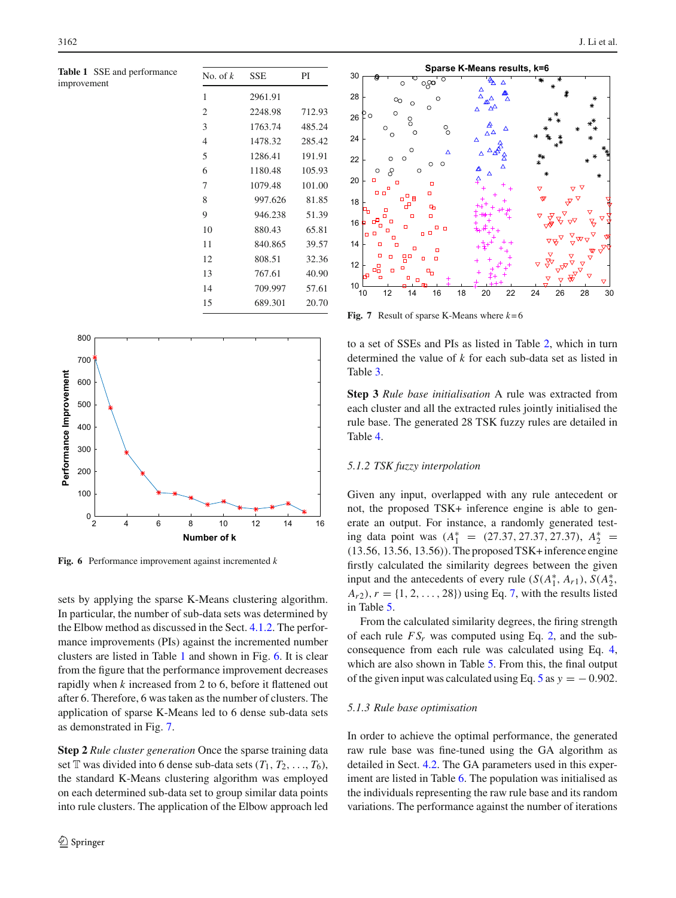<span id="page-7-0"></span>**Table 1** SSE and performance improvement

| No. of $k$     | SSE     | PI     |
|----------------|---------|--------|
| 1              | 2961.91 |        |
| $\overline{2}$ | 2248.98 | 712.93 |
| 3              | 1763.74 | 485.24 |
| $\overline{4}$ | 1478.32 | 285.42 |
| 5              | 1286.41 | 191.91 |
| 6              | 1180.48 | 105.93 |
| 7              | 1079.48 | 101.00 |
| 8              | 997.626 | 81.85  |
| 9              | 946.238 | 51.39  |
| 10             | 880.43  | 65.81  |
| 11             | 840.865 | 39.57  |
| 12             | 808.51  | 32.36  |
| 13             | 767.61  | 40.90  |
| 14             | 709.997 | 57.61  |
| 15             | 689.301 | 20.70  |



<span id="page-7-1"></span>**Fig. 6** Performance improvement against incremented *k*

sets by applying the sparse K-Means clustering algorithm. In particular, the number of sub-data sets was determined by the Elbow method as discussed in the Sect. [4.1.2.](#page-4-1) The performance improvements (PIs) against the incremented number clusters are listed in Table [1](#page-7-0) and shown in Fig. [6.](#page-7-1) It is clear from the figure that the performance improvement decreases rapidly when *k* increased from 2 to 6, before it flattened out after 6. Therefore, 6 was taken as the number of clusters. The application of sparse K-Means led to 6 dense sub-data sets as demonstrated in Fig. [7.](#page-7-2)

**Step 2** *Rule cluster generation* Once the sparse training data set  $\mathbb T$  was divided into 6 dense sub-data sets  $(T_1, T_2, \ldots, T_6)$ , the standard K-Means clustering algorithm was employed on each determined sub-data set to group similar data points into rule clusters. The application of the Elbow approach led



<span id="page-7-2"></span>**Fig. 7** Result of sparse K-Means where  $k=6$ 

to a set of SSEs and PIs as listed in Table [2,](#page-8-0) which in turn determined the value of *k* for each sub-data set as listed in Table [3.](#page-8-1)

**Step 3** *Rule base initialisation* A rule was extracted from each cluster and all the extracted rules jointly initialised the rule base. The generated 28 TSK fuzzy rules are detailed in Table [4.](#page-9-0)

## *5.1.2 TSK fuzzy interpolation*

Given any input, overlapped with any rule antecedent or not, the proposed TSK+ inference engine is able to generate an output. For instance, a randomly generated testing data point was  $(A_1^* = (27.37, 27.37, 27.37), A_2^* =$ (13.56, 13.56, 13.56)). The proposed TSK+ inference engine firstly calculated the similarity degrees between the given input and the antecedents of every rule  $(S(A_1^*, A_{r1}), S(A_2^*,$  $A_{r2}$ ,  $r = \{1, 2, ..., 28\}$  using Eq. [7,](#page-2-3) with the results listed in Table [5.](#page-10-0)

From the calculated similarity degrees, the firing strength of each rule  $FS_r$  was computed using Eq. [2,](#page-1-4) and the subconsequence from each rule was calculated using Eq. [4,](#page-1-5) which are also shown in Table [5.](#page-10-0) From this, the final output of the given input was calculated using Eq. [5](#page-1-6) as  $y = -0.902$ .

#### *5.1.3 Rule base optimisation*

In order to achieve the optimal performance, the generated raw rule base was fine-tuned using the GA algorithm as detailed in Sect. [4.2.](#page-5-1) The GA parameters used in this experiment are listed in Table [6.](#page-10-1) The population was initialised as the individuals representing the raw rule base and its random variations. The performance against the number of iterations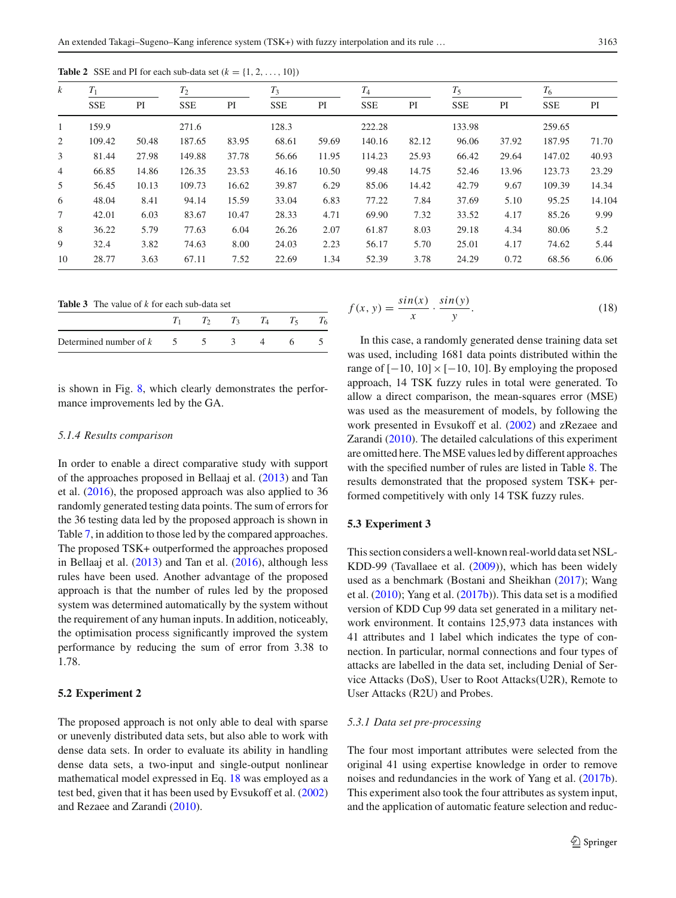<span id="page-8-0"></span>

| $\boldsymbol{k}$ | $T_1$      |       | $T_2$      |       | $T_3$      |       | $T_4$      |       |            | $T_5$ |            |        |
|------------------|------------|-------|------------|-------|------------|-------|------------|-------|------------|-------|------------|--------|
|                  | <b>SSE</b> | PI    | <b>SSE</b> | PI    | <b>SSE</b> | PI    | <b>SSE</b> | PI    | <b>SSE</b> | PI    | <b>SSE</b> | PI     |
| 1                | 159.9      |       | 271.6      |       | 128.3      |       | 222.28     |       | 133.98     |       | 259.65     |        |
| 2                | 109.42     | 50.48 | 187.65     | 83.95 | 68.61      | 59.69 | 140.16     | 82.12 | 96.06      | 37.92 | 187.95     | 71.70  |
| 3                | 81.44      | 27.98 | 149.88     | 37.78 | 56.66      | 11.95 | 114.23     | 25.93 | 66.42      | 29.64 | 147.02     | 40.93  |
| 4                | 66.85      | 14.86 | 126.35     | 23.53 | 46.16      | 10.50 | 99.48      | 14.75 | 52.46      | 13.96 | 123.73     | 23.29  |
| 5                | 56.45      | 10.13 | 109.73     | 16.62 | 39.87      | 6.29  | 85.06      | 14.42 | 42.79      | 9.67  | 109.39     | 14.34  |
| 6                | 48.04      | 8.41  | 94.14      | 15.59 | 33.04      | 6.83  | 77.22      | 7.84  | 37.69      | 5.10  | 95.25      | 14.104 |
| 7                | 42.01      | 6.03  | 83.67      | 10.47 | 28.33      | 4.71  | 69.90      | 7.32  | 33.52      | 4.17  | 85.26      | 9.99   |
| 8                | 36.22      | 5.79  | 77.63      | 6.04  | 26.26      | 2.07  | 61.87      | 8.03  | 29.18      | 4.34  | 80.06      | 5.2    |
| 9                | 32.4       | 3.82  | 74.63      | 8.00  | 24.03      | 2.23  | 56.17      | 5.70  | 25.01      | 4.17  | 74.62      | 5.44   |
| 10               | 28.77      | 3.63  | 67.11      | 7.52  | 22.69      | 1.34  | 52.39      | 3.78  | 24.29      | 0.72  | 68.56      | 6.06   |

**Table 2** SSE and PI for each sub-data set  $(k = \{1, 2, \ldots, 10\})$ 

**Table 3** The value of *k* for each sub-data set

<span id="page-8-1"></span>

| Determined number of $k = 5$ |  |  |  |
|------------------------------|--|--|--|

is shown in Fig. [8,](#page-10-2) which clearly demonstrates the performance improvements led by the GA.

#### *5.1.4 Results comparison*

In order to enable a direct comparative study with support of the approaches proposed in Bellaaj et al[.](#page-15-28) [\(2013](#page-15-28)) and Tan et al[.](#page-15-26) [\(2016\)](#page-15-26), the proposed approach was also applied to 36 randomly generated testing data points. The sum of errors for the 36 testing data led by the proposed approach is shown in Table [7,](#page-10-3) in addition to those led by the compared approaches. The proposed TSK+ outperformed the approaches proposed in Bellaaj et al[.](#page-15-28) [\(2013](#page-15-28)) and Tan et al[.](#page-15-26) [\(2016](#page-15-26)), although less rules have been used. Another advantage of the proposed approach is that the number of rules led by the proposed system was determined automatically by the system without the requirement of any human inputs. In addition, noticeably, the optimisation process significantly improved the system performance by reducing the sum of error from 3.38 to 1.78.

## **5.2 Experiment 2**

The proposed approach is not only able to deal with sparse or unevenly distributed data sets, but also able to work with dense data sets. In order to evaluate its ability in handling dense data sets, a two-input and single-output nonlinear mathematical model expressed in Eq. [18](#page-8-2) was employed as a test bed, given that it has been used by Evsukoff et al[.](#page-15-29) [\(2002\)](#page-15-29) and Rezaee and Zarand[i](#page-15-3) [\(2010\)](#page-15-3).

$$
f(x, y) = \frac{\sin(x)}{x} \cdot \frac{\sin(y)}{y}.
$$
 (18)

In this case, a randomly generated dense training data set was used, including 1681 data points distributed within the range of  $[-10, 10] \times [-10, 10]$ . By employing the proposed approach, 14 TSK fuzzy rules in total were generated. To allow a direct comparison, the mean-squares error (MSE) was used as the measurement of models, by following the work presented in Evsukoff et al[.](#page-15-29) [\(2002\)](#page-15-29) and zRezaee and Zarand[i](#page-15-3) [\(2010\)](#page-15-3). The detailed calculations of this experiment are omitted here. The MSE values led by different approaches with the specified number of rules are listed in Table [8.](#page-10-4) The results demonstrated that the proposed system TSK+ performed competitively with only 14 TSK fuzzy rules.

#### **5.3 Experiment 3**

This section considers a well-known real-world data set NSL-KDD-99 (Tavallaee et al[.](#page-15-30) [\(2009\)](#page-15-30)), which has been widely used as a benchmark (Bostani and Sheikha[n](#page-15-31) [\(2017](#page-15-31)); Wang et al[.](#page-15-32) [\(2010](#page-15-32)); Yang et al[.](#page-15-33) [\(2017b\)](#page-15-33)). This data set is a modified version of KDD Cup 99 data set generated in a military network environment. It contains 125,973 data instances with 41 attributes and 1 label which indicates the type of connection. In particular, normal connections and four types of attacks are labelled in the data set, including Denial of Service Attacks (DoS), User to Root Attacks(U2R), Remote to User Attacks (R2U) and Probes.

#### *5.3.1 Data set pre-processing*

<span id="page-8-2"></span>The four most important attributes were selected from the original 41 using expertise knowledge in order to remove noises and redundancies in the work of Yang et al[.](#page-15-33) [\(2017b](#page-15-33)). This experiment also took the four attributes as system input, and the application of automatic feature selection and reduc-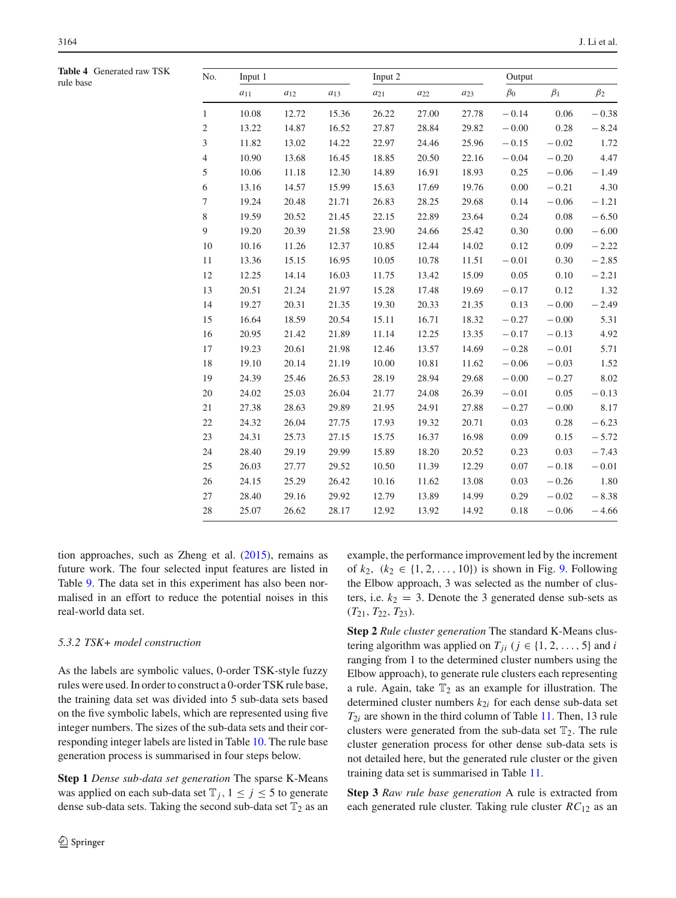<span id="page-9-0"></span>

| Table 4 Generated raw TSK<br>rule base | No.            | Input 1  |          |          | Input 2  |          |          | Output    |           |           |
|----------------------------------------|----------------|----------|----------|----------|----------|----------|----------|-----------|-----------|-----------|
|                                        |                | $a_{11}$ | $a_{12}$ | $a_{13}$ | $a_{21}$ | $a_{22}$ | $a_{23}$ | $\beta_0$ | $\beta_1$ | $\beta_2$ |
|                                        | $\mathbf{1}$   | 10.08    | 12.72    | 15.36    | 26.22    | 27.00    | 27.78    | $-0.14$   | 0.06      | $-0.38$   |
|                                        | $\sqrt{2}$     | 13.22    | 14.87    | 16.52    | 27.87    | 28.84    | 29.82    | $-0.00$   | 0.28      | $-8.24$   |
|                                        | 3              | 11.82    | 13.02    | 14.22    | 22.97    | 24.46    | 25.96    | $-0.15$   | $-0.02$   | 1.72      |
|                                        | $\overline{4}$ | 10.90    | 13.68    | 16.45    | 18.85    | 20.50    | 22.16    | $-0.04$   | $-0.20$   | 4.47      |
|                                        | $\mathfrak s$  | 10.06    | 11.18    | 12.30    | 14.89    | 16.91    | 18.93    | 0.25      | $-0.06$   | $-1.49$   |
|                                        | $\epsilon$     | 13.16    | 14.57    | 15.99    | 15.63    | 17.69    | 19.76    | 0.00      | $-0.21$   | 4.30      |
|                                        | $\tau$         | 19.24    | 20.48    | 21.71    | 26.83    | 28.25    | 29.68    | 0.14      | $-0.06$   | $-1.21$   |
|                                        | 8              | 19.59    | 20.52    | 21.45    | 22.15    | 22.89    | 23.64    | 0.24      | 0.08      | $-6.50$   |
|                                        | 9              | 19.20    | 20.39    | 21.58    | 23.90    | 24.66    | 25.42    | 0.30      | 0.00      | $-6.00$   |
|                                        | $10\,$         | 10.16    | 11.26    | 12.37    | 10.85    | 12.44    | 14.02    | 0.12      | 0.09      | $-2.22$   |
|                                        | 11             | 13.36    | 15.15    | 16.95    | 10.05    | 10.78    | 11.51    | $-0.01$   | 0.30      | $-2.85$   |
|                                        | $12\,$         | 12.25    | 14.14    | 16.03    | 11.75    | 13.42    | 15.09    | 0.05      | 0.10      | $-2.21$   |
|                                        | 13             | 20.51    | 21.24    | 21.97    | 15.28    | 17.48    | 19.69    | $-0.17$   | 0.12      | 1.32      |
|                                        | 14             | 19.27    | 20.31    | 21.35    | 19.30    | 20.33    | 21.35    | 0.13      | $-0.00$   | $-2.49$   |
|                                        | 15             | 16.64    | 18.59    | 20.54    | 15.11    | 16.71    | 18.32    | $-0.27$   | $-0.00$   | 5.31      |
|                                        | 16             | 20.95    | 21.42    | 21.89    | 11.14    | 12.25    | 13.35    | $-0.17$   | $-0.13$   | 4.92      |
|                                        | 17             | 19.23    | 20.61    | 21.98    | 12.46    | 13.57    | 14.69    | $-0.28$   | $-0.01$   | 5.71      |
|                                        | 18             | 19.10    | 20.14    | 21.19    | 10.00    | 10.81    | 11.62    | $-0.06$   | $-0.03$   | 1.52      |
|                                        | 19             | 24.39    | 25.46    | 26.53    | 28.19    | 28.94    | 29.68    | $-0.00$   | $-0.27$   | 8.02      |
|                                        | 20             | 24.02    | 25.03    | 26.04    | 21.77    | 24.08    | 26.39    | $-0.01$   | 0.05      | $-0.13$   |
|                                        | 21             | 27.38    | 28.63    | 29.89    | 21.95    | 24.91    | 27.88    | $-0.27$   | $-0.00$   | 8.17      |
|                                        | $22\,$         | 24.32    | 26.04    | 27.75    | 17.93    | 19.32    | 20.71    | 0.03      | 0.28      | $-6.23$   |
|                                        | 23             | 24.31    | 25.73    | 27.15    | 15.75    | 16.37    | 16.98    | 0.09      | 0.15      | $-5.72$   |
|                                        | 24             | 28.40    | 29.19    | 29.99    | 15.89    | 18.20    | 20.52    | 0.23      | 0.03      | $-7.43$   |
|                                        | 25             | 26.03    | 27.77    | 29.52    | 10.50    | 11.39    | 12.29    | 0.07      | $-0.18$   | $-0.01$   |
|                                        | 26             | 24.15    | 25.29    | 26.42    | 10.16    | 11.62    | 13.08    | 0.03      | $-0.26$   | 1.80      |
|                                        | $27\,$         | 28.40    | 29.16    | 29.92    | 12.79    | 13.89    | 14.99    | 0.29      | $-0.02$   | $-8.38$   |
|                                        | 28             | 25.07    | 26.62    | 28.17    | 12.92    | 13.92    | 14.92    | 0.18      | $-0.06$   | $-4.66$   |
|                                        |                |          |          |          |          |          |          |           |           |           |

tion approaches, such as Zheng et al[.](#page-15-34) [\(2015](#page-15-34)), remains as future work. The four selected input features are listed in Table [9.](#page-10-5) The data set in this experiment has also been normalised in an effort to reduce the potential noises in this real-world data set.

## *5.3.2 TSK+ model construction*

As the labels are symbolic values, 0-order TSK-style fuzzy rules were used. In order to construct a 0-order TSK rule base, the training data set was divided into 5 sub-data sets based on the five symbolic labels, which are represented using five integer numbers. The sizes of the sub-data sets and their corresponding integer labels are listed in Table [10.](#page-11-0) The rule base generation process is summarised in four steps below.

**Step 1** *Dense sub-data set generation* The sparse K-Means was applied on each sub-data set  $\mathbb{T}_j$ ,  $1 \leq j \leq 5$  to generate dense sub-data sets. Taking the second sub-data set  $\mathbb{T}_2$  as an example, the performance improvement led by the increment of  $k_2$ ,  $(k_2 ∈ {1, 2, ..., 10})$  is shown in Fig. [9.](#page-11-1) Following the Elbow approach, 3 was selected as the number of clusters, i.e.  $k_2 = 3$ . Denote the 3 generated dense sub-sets as  $(T_{21}, T_{22}, T_{23})$ .

**Step 2** *Rule cluster generation* The standard K-Means clustering algorithm was applied on  $T_{ji}$  ( $j \in \{1, 2, \ldots, 5\}$  and *i* ranging from 1 to the determined cluster numbers using the Elbow approach), to generate rule clusters each representing a rule. Again, take  $T_2$  as an example for illustration. The determined cluster numbers  $k_{2i}$  for each dense sub-data set  $T_{2i}$  are shown in the third column of Table [11.](#page-11-2) Then, 13 rule clusters were generated from the sub-data set  $\mathbb{T}_2$ . The rule cluster generation process for other dense sub-data sets is not detailed here, but the generated rule cluster or the given training data set is summarised in Table [11.](#page-11-2)

**Step 3** *Raw rule base generation* A rule is extracted from each generated rule cluster. Taking rule cluster *RC*<sup>12</sup> as an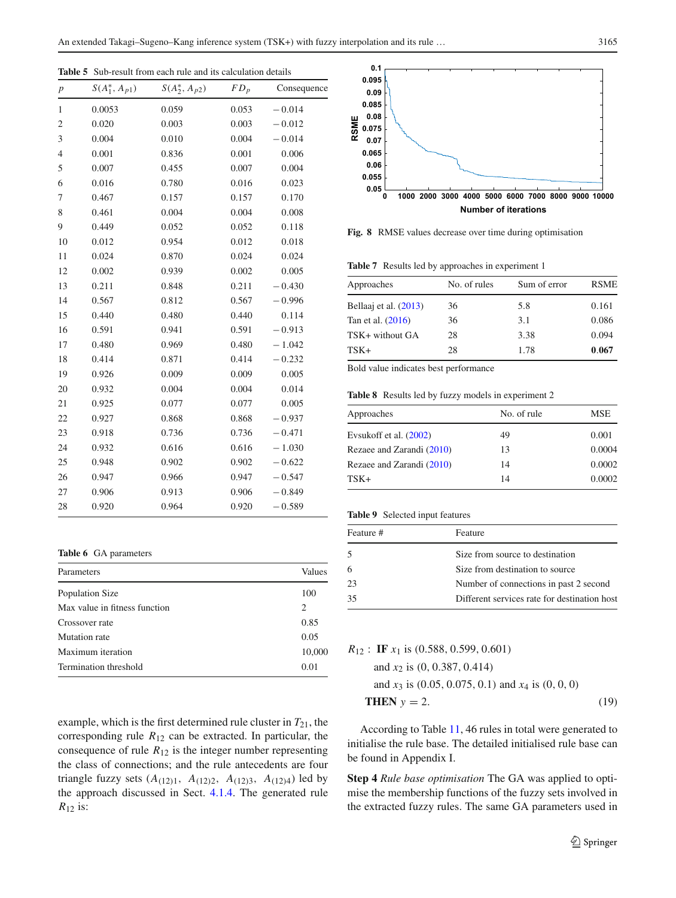<span id="page-10-0"></span>**Table 5** Sub-result from each rule and its calculation details

| $\boldsymbol{p}$ | $S(A_1^*, A_{p1})$ | $S(A_2^*, A_{p2})$ | $FD_p$ | Consequence |
|------------------|--------------------|--------------------|--------|-------------|
| 1                | 0.0053             | 0.059              | 0.053  | $-0.014$    |
| 2                | 0.020              | 0.003              | 0.003  | $-0.012$    |
| 3                | 0.004              | 0.010              | 0.004  | $-0.014$    |
| $\overline{4}$   | 0.001              | 0.836              | 0.001  | 0.006       |
| 5                | 0.007              | 0.455              | 0.007  | 0.004       |
| 6                | 0.016              | 0.780              | 0.016  | 0.023       |
| 7                | 0.467              | 0.157              | 0.157  | 0.170       |
| 8                | 0.461              | 0.004              | 0.004  | 0.008       |
| 9                | 0.449              | 0.052              | 0.052  | 0.118       |
| 10               | 0.012              | 0.954              | 0.012  | 0.018       |
| 11               | 0.024              | 0.870              | 0.024  | 0.024       |
| 12               | 0.002              | 0.939              | 0.002  | 0.005       |
| 13               | 0.211              | 0.848              | 0.211  | $-0.430$    |
| 14               | 0.567              | 0.812              | 0.567  | $-0.996$    |
| 15               | 0.440              | 0.480              | 0.440  | 0.114       |
| 16               | 0.591              | 0.941              | 0.591  | $-0.913$    |
| 17               | 0.480              | 0.969              | 0.480  | $-1.042$    |
| 18               | 0.414              | 0.871              | 0.414  | $-0.232$    |
| 19               | 0.926              | 0.009              | 0.009  | 0.005       |
| 20               | 0.932              | 0.004              | 0.004  | 0.014       |
| 21               | 0.925              | 0.077              | 0.077  | 0.005       |
| 22               | 0.927              | 0.868              | 0.868  | $-0.937$    |
| 23               | 0.918              | 0.736              | 0.736  | $-0.471$    |
| 24               | 0.932              | 0.616              | 0.616  | $-1.030$    |
| 25               | 0.948              | 0.902              | 0.902  | $-0.622$    |
| 26               | 0.947              | 0.966              | 0.947  | $-0.547$    |
| 27               | 0.906              | 0.913              | 0.906  | $-0.849$    |
| 28               | 0.920              | 0.964              | 0.920  | $-0.589$    |

**Table 6** GA parameters

<span id="page-10-1"></span>

| Parameters                    | Values |
|-------------------------------|--------|
| Population Size               | 100    |
| Max value in fitness function | 2      |
| Crossover rate                | 0.85   |
| Mutation rate                 | 0.05   |
| Maximum iteration             | 10,000 |
| Termination threshold         | 0.01   |

example, which is the first determined rule cluster in  $T_{21}$ , the corresponding rule  $R_{12}$  can be extracted. In particular, the consequence of rule  $R_{12}$  is the integer number representing the class of connections; and the rule antecedents are four triangle fuzzy sets  $(A_{(12)1}, A_{(12)2}, A_{(12)3}, A_{(12)4})$  led by the approach discussed in Sect. [4.1.4.](#page-4-2) The generated rule *R*<sup>12</sup> is:



<span id="page-10-2"></span>**Fig. 8** RMSE values decrease over time during optimisation

**Table 7** Results led by approaches in experiment 1

<span id="page-10-3"></span>

| Approaches            | No. of rules | Sum of error | <b>RSME</b> |
|-----------------------|--------------|--------------|-------------|
| Bellaaj et al. (2013) | 36           | 5.8          | 0.161       |
| Tan et al. (2016)     | 36           | 3.1          | 0.086       |
| TSK+ without GA       | 28           | 3.38         | 0.094       |
| TSK+                  | 28           | 1.78         | 0.067       |

Bold value indicates best performance

**Table 8** Results led by fuzzy models in experiment 2

<span id="page-10-4"></span>

| Approaches                | No. of rule | MSE    |
|---------------------------|-------------|--------|
| Evsukoff et al. $(2002)$  | 49          | 0.001  |
| Rezaee and Zarandi (2010) | 13          | 0.0004 |
| Rezaee and Zarandi (2010) | 14          | 0.0002 |
| $TSK+$                    | 14          | 0.0002 |

## **Table 9** Selected input features

<span id="page-10-5"></span>

| Feature # | Feature                                      |
|-----------|----------------------------------------------|
| .5        | Size from source to destination              |
| 6         | Size from destination to source              |
| 23        | Number of connections in past 2 second       |
| 35        | Different services rate for destination host |
|           |                                              |

*R*<sup>12</sup> : **IF** *x*<sup>1</sup> is (0.588, 0.599, 0.601)

and 
$$
x_2
$$
 is (0, 0.387, 0.414)  
and  $x_3$  is (0.05, 0.075, 0.1) and  $x_4$  is (0, 0, 0)  
THEN  $y = 2$ . (19)

According to Table [11,](#page-11-2) 46 rules in total were generated to initialise the rule base. The detailed initialised rule base can be found in Appendix I.

**Step 4** *Rule base optimisation* The GA was applied to optimise the membership functions of the fuzzy sets involved in the extracted fuzzy rules. The same GA parameters used in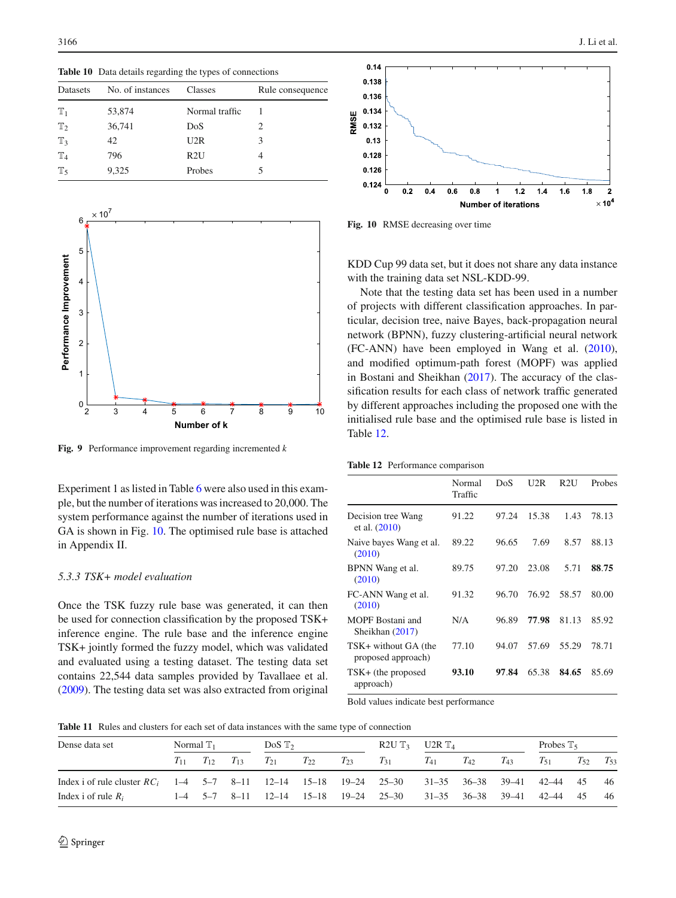<span id="page-11-0"></span>**Table 10** Data details regarding the types of connections

| Datasets       | No. of instances | Classes        | Rule consequence |
|----------------|------------------|----------------|------------------|
| $\mathbb{T}_1$ | 53,874           | Normal traffic |                  |
| $T_2$          | 36,741           | DoS            | 2                |
| $\mathbb{T}_3$ | 42               | U2R            | 3                |
| $\mathbb{T}_4$ | 796              | R2U            | 4                |
| $\mathbb{T}$ 5 | 9,325            | Probes         | 5                |



<span id="page-11-1"></span>**Fig. 9** Performance improvement regarding incremented *k*

Experiment 1 as listed in Table [6](#page-10-1) were also used in this example, but the number of iterations was increased to 20,000. The system performance against the number of iterations used in GA is shown in Fig. [10.](#page-11-3) The optimised rule base is attached in Appendix II.

## *5.3.3 TSK+ model evaluation*

Once the TSK fuzzy rule base was generated, it can then be used for connection classification by the proposed TSK+ inference engine. The rule base and the inference engine TSK+ jointly formed the fuzzy model, which was validated and evaluated using a testing dataset. The testing data set contains 22,544 data samples provided by Tavallaee et al[.](#page-15-30) [\(2009](#page-15-30)). The testing data set was also extracted from original



<span id="page-11-3"></span>**Fig. 10** RMSE decreasing over time

KDD Cup 99 data set, but it does not share any data instance with the training data set NSL-KDD-99.

Note that the testing data set has been used in a number of projects with different classification approaches. In particular, decision tree, naive Bayes, back-propagation neural network (BPNN), fuzzy clustering-artificial neural network (FC-ANN) have been employed in Wang et al[.](#page-15-32) [\(2010](#page-15-32)), and modified optimum-path forest (MOPF) was applied in Bostani and Sheikha[n](#page-15-31) [\(2017](#page-15-31)). The accuracy of the classification results for each class of network traffic generated by different approaches including the proposed one with the initialised rule base and the optimised rule base is listed in Table [12.](#page-11-4)

#### **Table 12** Performance comparison

<span id="page-11-4"></span>

|                                            | Normal<br>Traffic | DoS   | U2R   | R <sub>2U</sub> | Probes |
|--------------------------------------------|-------------------|-------|-------|-----------------|--------|
| Decision tree Wang<br>et al. $(2010)$      | 91.22             | 97.24 | 15.38 | 1.43            | 78.13  |
| Naive bayes Wang et al.<br>(2010)          | 89.22             | 96.65 | 7.69  | 8.57            | 88.13  |
| BPNN Wang et al.<br>(2010)                 | 89.75             | 97.20 | 23.08 | 5.71            | 88.75  |
| FC-ANN Wang et al.<br>(2010)               | 91.32             | 96.70 | 76.92 | 58.57           | 80.00  |
| MOPF Bostani and<br>Sheikhan (2017)        | N/A               | 96.89 | 77.98 | 81.13           | 85.92  |
| TSK+ without GA (the<br>proposed approach) | 77.10             | 94.07 | 57.69 | 55.29           | 78.71  |
| TSK+ (the proposed<br>approach)            | 93.10             | 97.84 | 65.38 | 84.65           | 85.69  |

Bold values indicate best performance

**Table 11** Rules and clusters for each set of data instances with the same type of connection

<span id="page-11-2"></span>

| Dense data set                                                                                 | Normal $\mathbb{T}_1$ |                   |  | $DoS$ $\mathbb{T}_2$ |          |          | R2U $\mathbb{T}_3$ U2R $\mathbb{T}_4$  |          |          |          |                            | Probes $\mathbb{T}_5$ |          |  |
|------------------------------------------------------------------------------------------------|-----------------------|-------------------|--|----------------------|----------|----------|----------------------------------------|----------|----------|----------|----------------------------|-----------------------|----------|--|
|                                                                                                | $T_{11}$              | $T_{12}$ $T_{13}$ |  | $T_{21}$             | $T_{22}$ | $T_{23}$ | $T_{31}$                               | $T_{41}$ | $T_{42}$ | $T_{43}$ | $T_{51}$                   | $T_{52}$              | $T_{53}$ |  |
| Index i of rule cluster $RC_i$ 1–4 5–7 8–11 12–14 15–18 19–24 25–30 31–35 36–38 39–41 42–44 45 |                       |                   |  |                      |          |          |                                        |          |          |          |                            |                       | - 46     |  |
| Index i of rule $R_i$                                                                          |                       |                   |  |                      |          |          | $1-4$ 5-7 8-11 12-14 15-18 19-24 25-30 |          |          |          | 31–35 36–38 39–41 42–44 45 |                       | -46      |  |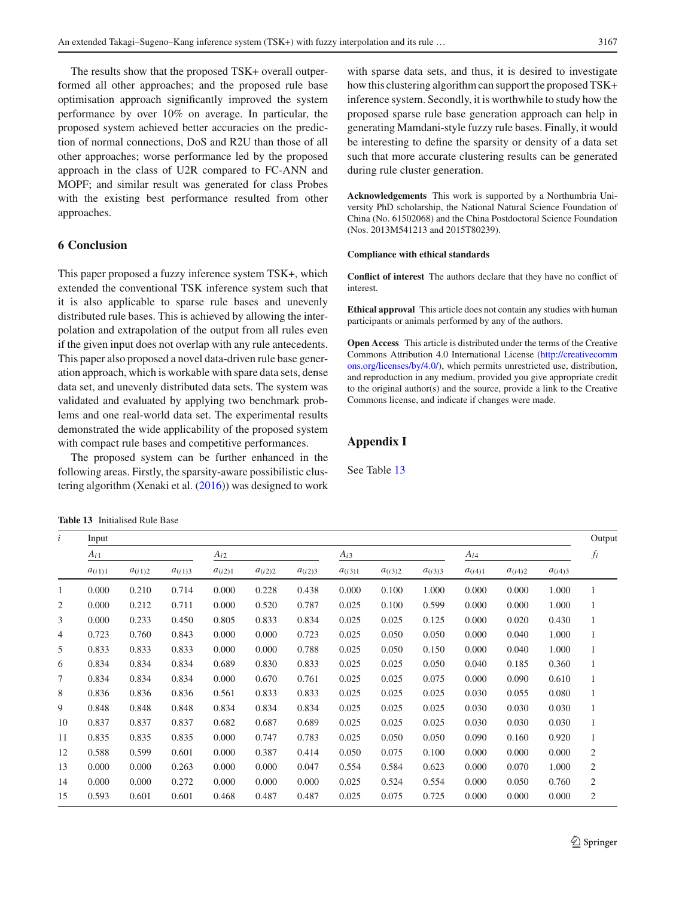The results show that the proposed TSK+ overall outperformed all other approaches; and the proposed rule base optimisation approach significantly improved the system performance by over 10% on average. In particular, the proposed system achieved better accuracies on the prediction of normal connections, DoS and R2U than those of all other approaches; worse performance led by the proposed approach in the class of U2R compared to FC-ANN and MOPF; and similar result was generated for class Probes with the existing best performance resulted from other approaches.

## <span id="page-12-0"></span>**6 Conclusion**

This paper proposed a fuzzy inference system TSK+, which extended the conventional TSK inference system such that it is also applicable to sparse rule bases and unevenly distributed rule bases. This is achieved by allowing the interpolation and extrapolation of the output from all rules even if the given input does not overlap with any rule antecedents. This paper also proposed a novel data-driven rule base generation approach, which is workable with spare data sets, dense data set, and unevenly distributed data sets. The system was validated and evaluated by applying two benchmark problems and one real-world data set. The experimental results demonstrated the wide applicability of the proposed system with compact rule bases and competitive performances.

The proposed system can be further enhanced in the following areas. Firstly, the sparsity-aware possibilistic clustering algorithm (Xenaki et al[.](#page-15-35) [\(2016](#page-15-35))) was designed to work

<span id="page-12-1"></span>**Table 13** Initialised Rule Base

with sparse data sets, and thus, it is desired to investigate how this clustering algorithm can support the proposed TSK+ inference system. Secondly, it is worthwhile to study how the proposed sparse rule base generation approach can help in generating Mamdani-style fuzzy rule bases. Finally, it would be interesting to define the sparsity or density of a data set such that more accurate clustering results can be generated during rule cluster generation.

**Acknowledgements** This work is supported by a Northumbria University PhD scholarship, the National Natural Science Foundation of China (No. 61502068) and the China Postdoctoral Science Foundation (Nos. 2013M541213 and 2015T80239).

## **Compliance with ethical standards**

**Conflict of interest** The authors declare that they have no conflict of interest.

**Ethical approval** This article does not contain any studies with human participants or animals performed by any of the authors.

**Open Access** This article is distributed under the terms of the Creative Commons Attribution 4.0 International License [\(http://creativecomm](http://creativecommons.org/licenses/by/4.0/) [ons.org/licenses/by/4.0/\)](http://creativecommons.org/licenses/by/4.0/), which permits unrestricted use, distribution, and reproduction in any medium, provided you give appropriate credit to the original author(s) and the source, provide a link to the Creative Commons license, and indicate if changes were made.

## **Appendix I**

See Table [13](#page-12-1)

| $\dot{i}$      | Input       |             |             |             |             |             |             |             |             |             |             |             | Output         |
|----------------|-------------|-------------|-------------|-------------|-------------|-------------|-------------|-------------|-------------|-------------|-------------|-------------|----------------|
|                | $A_{i1}$    |             |             | $A_{i2}$    |             |             | $A_{i3}$    |             |             | $A_{i4}$    |             |             | $f_i$          |
|                | $a_{(i1)1}$ | $a_{(i1)2}$ | $a_{(i1)3}$ | $a_{(i2)1}$ | $a_{(i2)2}$ | $a_{(i2)3}$ | $a_{(i3)1}$ | $a_{(i3)2}$ | $a_{(i3)3}$ | $a_{(i4)1}$ | $a_{(i4)2}$ | $a_{(i4)3}$ |                |
| 1              | 0.000       | 0.210       | 0.714       | 0.000       | 0.228       | 0.438       | 0.000       | 0.100       | 1.000       | 0.000       | 0.000       | 1.000       | 1              |
| 2              | 0.000       | 0.212       | 0.711       | 0.000       | 0.520       | 0.787       | 0.025       | 0.100       | 0.599       | 0.000       | 0.000       | 1.000       | 1              |
| 3              | 0.000       | 0.233       | 0.450       | 0.805       | 0.833       | 0.834       | 0.025       | 0.025       | 0.125       | 0.000       | 0.020       | 0.430       | $\mathbf{1}$   |
| $\overline{4}$ | 0.723       | 0.760       | 0.843       | 0.000       | 0.000       | 0.723       | 0.025       | 0.050       | 0.050       | 0.000       | 0.040       | 1.000       | 1              |
| 5              | 0.833       | 0.833       | 0.833       | 0.000       | 0.000       | 0.788       | 0.025       | 0.050       | 0.150       | 0.000       | 0.040       | 1.000       | 1              |
| 6              | 0.834       | 0.834       | 0.834       | 0.689       | 0.830       | 0.833       | 0.025       | 0.025       | 0.050       | 0.040       | 0.185       | 0.360       | $\mathbf{1}$   |
| 7              | 0.834       | 0.834       | 0.834       | 0.000       | 0.670       | 0.761       | 0.025       | 0.025       | 0.075       | 0.000       | 0.090       | 0.610       | $\mathbf{1}$   |
| 8              | 0.836       | 0.836       | 0.836       | 0.561       | 0.833       | 0.833       | 0.025       | 0.025       | 0.025       | 0.030       | 0.055       | 0.080       | 1              |
| 9              | 0.848       | 0.848       | 0.848       | 0.834       | 0.834       | 0.834       | 0.025       | 0.025       | 0.025       | 0.030       | 0.030       | 0.030       | 1              |
| 10             | 0.837       | 0.837       | 0.837       | 0.682       | 0.687       | 0.689       | 0.025       | 0.025       | 0.025       | 0.030       | 0.030       | 0.030       | 1              |
| 11             | 0.835       | 0.835       | 0.835       | 0.000       | 0.747       | 0.783       | 0.025       | 0.050       | 0.050       | 0.090       | 0.160       | 0.920       | 1              |
| 12             | 0.588       | 0.599       | 0.601       | 0.000       | 0.387       | 0.414       | 0.050       | 0.075       | 0.100       | 0.000       | 0.000       | 0.000       | $\overline{2}$ |
| 13             | 0.000       | 0.000       | 0.263       | 0.000       | 0.000       | 0.047       | 0.554       | 0.584       | 0.623       | 0.000       | 0.070       | 1.000       | $\overline{2}$ |
| 14             | 0.000       | 0.000       | 0.272       | 0.000       | 0.000       | 0.000       | 0.025       | 0.524       | 0.554       | 0.000       | 0.050       | 0.760       | $\mathfrak{2}$ |
| 15             | 0.593       | 0.601       | 0.601       | 0.468       | 0.487       | 0.487       | 0.025       | 0.075       | 0.725       | 0.000       | 0.000       | 0.000       | $\mathfrak{2}$ |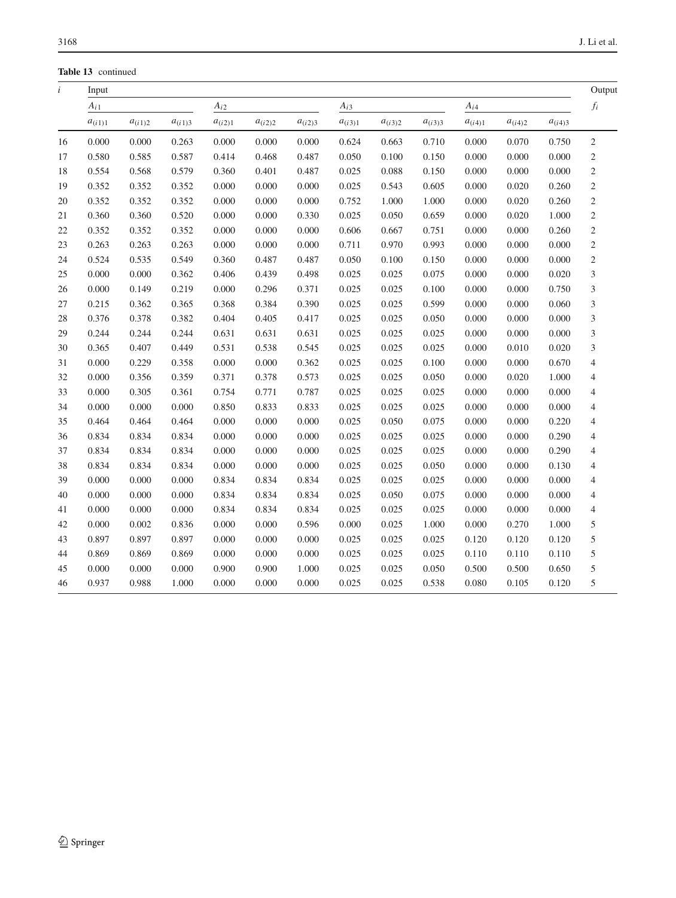**Table 13** continued

| $\ensuremath{\boldsymbol{f_i}}$<br>$A_{i2}$<br>$A_{i1}$<br>$A_{i3}$<br>$A_{i4}$<br>$a_{(i1)1}$<br>$a_{(i1)2}$<br>$a_{(i1)3}$<br>$a_{(i2)1}$<br>$a_{(i2)2}$<br>$a_{(i2)3}$<br>$a_{(i3)1}$<br>$a_{(i3)2}$<br>$a_{(i3)3}$<br>$a_{(i4)1}$<br>$a_{(i4)2}$<br>$a_{(i4)3}$<br>$\mathfrak{2}$<br>16<br>0.000<br>0.000<br>0.263<br>0.000<br>0.000<br>0.000<br>0.624<br>0.663<br>0.000<br>0.070<br>0.750<br>0.710<br>$\sqrt{2}$<br>0.585<br>0.587<br>0.100<br>0.000<br>0.000<br>17<br>0.580<br>0.414<br>0.468<br>0.487<br>0.050<br>0.150<br>0.000<br>$\mathbf{2}$<br>18<br>0.554<br>0.568<br>0.579<br>0.360<br>0.487<br>0.025<br>0.088<br>0.000<br>0.000<br>0.000<br>0.401<br>0.150<br>$\mathfrak{2}$<br>19<br>0.352<br>0.352<br>0.000<br>0.000<br>0.000<br>0.025<br>0.543<br>0.605<br>0.020<br>0.352<br>0.000<br>0.260<br>$\mathfrak{2}$<br>0.352<br>0.352<br>0.352<br>0.000<br>0.000<br>0.000<br>0.752<br>1.000<br>1.000<br>0.000<br>0.020<br>0.260<br>20<br>$\mathfrak{2}$<br>21<br>0.360<br>0.360<br>0.520<br>0.000<br>0.000<br>0.330<br>0.025<br>0.050<br>0.659<br>0.000<br>0.020<br>1.000<br>$\sqrt{2}$<br>22<br>0.352<br>0.352<br>0.352<br>0.000<br>0.000<br>0.000<br>0.606<br>0.667<br>0.000<br>0.000<br>0.260<br>0.751<br>$\sqrt{2}$<br>0.263<br>0.263<br>0.000<br>0.970<br>23<br>0.263<br>0.000<br>0.000<br>0.711<br>0.993<br>0.000<br>0.000<br>0.000<br>$\sqrt{2}$<br>0.524<br>0.535<br>0.549<br>0.360<br>0.487<br>0.000<br>0.000<br>24<br>0.487<br>0.050<br>0.100<br>0.150<br>0.000<br>3<br>25<br>0.000<br>0.000<br>0.362<br>0.406<br>0.439<br>0.498<br>0.025<br>0.025<br>0.075<br>0.000<br>0.000<br>0.020<br>3<br>26<br>0.000<br>0.149<br>0.219<br>0.000<br>0.296<br>0.371<br>0.025<br>0.025<br>0.100<br>0.000<br>0.000<br>0.750<br>0.025<br>0.025<br>3<br>27<br>0.215<br>0.362<br>0.365<br>0.368<br>0.384<br>0.390<br>0.599<br>0.000<br>0.000<br>0.060<br>3<br>28<br>0.382<br>0.025<br>0.376<br>0.378<br>0.404<br>0.405<br>0.417<br>0.025<br>0.050<br>0.000<br>0.000<br>0.000<br>3<br>0.244<br>0.244<br>0.025<br>0.025<br>29<br>0.244<br>0.631<br>0.631<br>0.631<br>0.025<br>0.000<br>0.000<br>0.000<br>3<br>0.407<br>0.449<br>0.531<br>0.538<br>0.545<br>0.025<br>0.025<br>0.025<br>0.000<br>0.010<br>0.020<br>30<br>0.365<br>31<br>0.000<br>0.229<br>0.358<br>0.000<br>0.000<br>0.362<br>0.025<br>0.025<br>0.100<br>0.000<br>0.000<br>0.670<br>$\overline{4}$<br>0.025<br>32<br>0.000<br>0.356<br>0.359<br>0.371<br>0.573<br>0.025<br>0.050<br>0.000<br>0.020<br>1.000<br>$\overline{4}$<br>0.378<br>0.305<br>0.025<br>0.025<br>0.000<br>33<br>0.000<br>0.361<br>0.754<br>0.771<br>0.787<br>0.025<br>0.000<br>0.000<br>$\overline{4}$<br>0.000<br>0.833<br>0.025<br>0.025<br>34<br>0.000<br>0.000<br>0.850<br>0.833<br>0.025<br>0.000<br>0.000<br>0.000<br>$\overline{4}$<br>35<br>0.464<br>0.000<br>0.000<br>0.025<br>0.050<br>0.220<br>$\overline{\mathcal{L}}$<br>0.464<br>0.464<br>0.000<br>0.075<br>0.000<br>0.000<br>$\overline{\mathcal{L}}$<br>36<br>0.834<br>0.834<br>0.000<br>0.000<br>0.025<br>0.025<br>0.290<br>0.834<br>0.000<br>0.025<br>0.000<br>0.000<br>37<br>0.834<br>0.834<br>0.834<br>0.000<br>0.000<br>0.000<br>0.025<br>0.025<br>0.025<br>0.000<br>0.000<br>0.290<br>$\overline{4}$<br>38<br>0.834<br>0.834<br>0.834<br>0.000<br>0.000<br>0.000<br>0.025<br>0.025<br>0.050<br>0.000<br>0.000<br>0.130<br>$\overline{4}$<br>39<br>0.000<br>0.834<br>0.025<br>0.000<br>0.000<br>0.834<br>0.834<br>0.025<br>0.025<br>0.000<br>0.000<br>0.000<br>$\overline{4}$<br>0.000<br>0.000<br>0.834<br>0.834<br>0.025<br>0.050<br>0.075<br>0.000<br>40<br>0.000<br>0.834<br>0.000<br>0.000<br>$\overline{4}$<br>0.000<br>0.834<br>0.025<br>$\overline{4}$<br>41<br>0.000<br>0.000<br>0.834<br>0.834<br>0.025<br>0.025<br>0.000<br>0.000<br>0.000<br>5<br>42<br>0.000<br>0.002<br>0.836<br>0.000<br>0.000<br>0.025<br>1.000<br>0.000<br>1.000<br>0.000<br>0.596<br>0.270<br>$\sqrt{5}$<br>43<br>0.897<br>0.897<br>0.897<br>0.000<br>0.000<br>0.000<br>0.025<br>0.025<br>0.025<br>0.120<br>0.120<br>0.120<br>5<br>0.869<br>0.869<br>0.869<br>0.000<br>0.000<br>0.025<br>0.025<br>0.025<br>0.110<br>0.110<br>44<br>0.000<br>0.110<br>5<br>45<br>0.000<br>0.000<br>0.000<br>0.900<br>0.900<br>1.000<br>0.025<br>0.025<br>0.050<br>0.500<br>0.500<br>0.650 | $\dot{i}$ | Input |       |       |       |       |       |       |       |       |       |       |       | Output |
|----------------------------------------------------------------------------------------------------------------------------------------------------------------------------------------------------------------------------------------------------------------------------------------------------------------------------------------------------------------------------------------------------------------------------------------------------------------------------------------------------------------------------------------------------------------------------------------------------------------------------------------------------------------------------------------------------------------------------------------------------------------------------------------------------------------------------------------------------------------------------------------------------------------------------------------------------------------------------------------------------------------------------------------------------------------------------------------------------------------------------------------------------------------------------------------------------------------------------------------------------------------------------------------------------------------------------------------------------------------------------------------------------------------------------------------------------------------------------------------------------------------------------------------------------------------------------------------------------------------------------------------------------------------------------------------------------------------------------------------------------------------------------------------------------------------------------------------------------------------------------------------------------------------------------------------------------------------------------------------------------------------------------------------------------------------------------------------------------------------------------------------------------------------------------------------------------------------------------------------------------------------------------------------------------------------------------------------------------------------------------------------------------------------------------------------------------------------------------------------------------------------------------------------------------------------------------------------------------------------------------------------------------------------------------------------------------------------------------------------------------------------------------------------------------------------------------------------------------------------------------------------------------------------------------------------------------------------------------------------------------------------------------------------------------------------------------------------------------------------------------------------------------------------------------------------------------------------------------------------------------------------------------------------------------------------------------------------------------------------------------------------------------------------------------------------------------------------------------------------------------------------------------------------------------------------------------------------------------------------------------------------------------------------------------------------------------------------------------------------------------------------------------------------------------------------------------------------------------------------------------------------------------------------------------------------------------------------------------------------------------------------------------------------------------------------------------------------------------------------------------------------------------------------------------------------------------------------------------------------------------------------------|-----------|-------|-------|-------|-------|-------|-------|-------|-------|-------|-------|-------|-------|--------|
|                                                                                                                                                                                                                                                                                                                                                                                                                                                                                                                                                                                                                                                                                                                                                                                                                                                                                                                                                                                                                                                                                                                                                                                                                                                                                                                                                                                                                                                                                                                                                                                                                                                                                                                                                                                                                                                                                                                                                                                                                                                                                                                                                                                                                                                                                                                                                                                                                                                                                                                                                                                                                                                                                                                                                                                                                                                                                                                                                                                                                                                                                                                                                                                                                                                                                                                                                                                                                                                                                                                                                                                                                                                                                                                                                                                                                                                                                                                                                                                                                                                                                                                                                                                                                                                                      |           |       |       |       |       |       |       |       |       |       |       |       |       |        |
|                                                                                                                                                                                                                                                                                                                                                                                                                                                                                                                                                                                                                                                                                                                                                                                                                                                                                                                                                                                                                                                                                                                                                                                                                                                                                                                                                                                                                                                                                                                                                                                                                                                                                                                                                                                                                                                                                                                                                                                                                                                                                                                                                                                                                                                                                                                                                                                                                                                                                                                                                                                                                                                                                                                                                                                                                                                                                                                                                                                                                                                                                                                                                                                                                                                                                                                                                                                                                                                                                                                                                                                                                                                                                                                                                                                                                                                                                                                                                                                                                                                                                                                                                                                                                                                                      |           |       |       |       |       |       |       |       |       |       |       |       |       |        |
|                                                                                                                                                                                                                                                                                                                                                                                                                                                                                                                                                                                                                                                                                                                                                                                                                                                                                                                                                                                                                                                                                                                                                                                                                                                                                                                                                                                                                                                                                                                                                                                                                                                                                                                                                                                                                                                                                                                                                                                                                                                                                                                                                                                                                                                                                                                                                                                                                                                                                                                                                                                                                                                                                                                                                                                                                                                                                                                                                                                                                                                                                                                                                                                                                                                                                                                                                                                                                                                                                                                                                                                                                                                                                                                                                                                                                                                                                                                                                                                                                                                                                                                                                                                                                                                                      |           |       |       |       |       |       |       |       |       |       |       |       |       |        |
|                                                                                                                                                                                                                                                                                                                                                                                                                                                                                                                                                                                                                                                                                                                                                                                                                                                                                                                                                                                                                                                                                                                                                                                                                                                                                                                                                                                                                                                                                                                                                                                                                                                                                                                                                                                                                                                                                                                                                                                                                                                                                                                                                                                                                                                                                                                                                                                                                                                                                                                                                                                                                                                                                                                                                                                                                                                                                                                                                                                                                                                                                                                                                                                                                                                                                                                                                                                                                                                                                                                                                                                                                                                                                                                                                                                                                                                                                                                                                                                                                                                                                                                                                                                                                                                                      |           |       |       |       |       |       |       |       |       |       |       |       |       |        |
|                                                                                                                                                                                                                                                                                                                                                                                                                                                                                                                                                                                                                                                                                                                                                                                                                                                                                                                                                                                                                                                                                                                                                                                                                                                                                                                                                                                                                                                                                                                                                                                                                                                                                                                                                                                                                                                                                                                                                                                                                                                                                                                                                                                                                                                                                                                                                                                                                                                                                                                                                                                                                                                                                                                                                                                                                                                                                                                                                                                                                                                                                                                                                                                                                                                                                                                                                                                                                                                                                                                                                                                                                                                                                                                                                                                                                                                                                                                                                                                                                                                                                                                                                                                                                                                                      |           |       |       |       |       |       |       |       |       |       |       |       |       |        |
|                                                                                                                                                                                                                                                                                                                                                                                                                                                                                                                                                                                                                                                                                                                                                                                                                                                                                                                                                                                                                                                                                                                                                                                                                                                                                                                                                                                                                                                                                                                                                                                                                                                                                                                                                                                                                                                                                                                                                                                                                                                                                                                                                                                                                                                                                                                                                                                                                                                                                                                                                                                                                                                                                                                                                                                                                                                                                                                                                                                                                                                                                                                                                                                                                                                                                                                                                                                                                                                                                                                                                                                                                                                                                                                                                                                                                                                                                                                                                                                                                                                                                                                                                                                                                                                                      |           |       |       |       |       |       |       |       |       |       |       |       |       |        |
|                                                                                                                                                                                                                                                                                                                                                                                                                                                                                                                                                                                                                                                                                                                                                                                                                                                                                                                                                                                                                                                                                                                                                                                                                                                                                                                                                                                                                                                                                                                                                                                                                                                                                                                                                                                                                                                                                                                                                                                                                                                                                                                                                                                                                                                                                                                                                                                                                                                                                                                                                                                                                                                                                                                                                                                                                                                                                                                                                                                                                                                                                                                                                                                                                                                                                                                                                                                                                                                                                                                                                                                                                                                                                                                                                                                                                                                                                                                                                                                                                                                                                                                                                                                                                                                                      |           |       |       |       |       |       |       |       |       |       |       |       |       |        |
|                                                                                                                                                                                                                                                                                                                                                                                                                                                                                                                                                                                                                                                                                                                                                                                                                                                                                                                                                                                                                                                                                                                                                                                                                                                                                                                                                                                                                                                                                                                                                                                                                                                                                                                                                                                                                                                                                                                                                                                                                                                                                                                                                                                                                                                                                                                                                                                                                                                                                                                                                                                                                                                                                                                                                                                                                                                                                                                                                                                                                                                                                                                                                                                                                                                                                                                                                                                                                                                                                                                                                                                                                                                                                                                                                                                                                                                                                                                                                                                                                                                                                                                                                                                                                                                                      |           |       |       |       |       |       |       |       |       |       |       |       |       |        |
|                                                                                                                                                                                                                                                                                                                                                                                                                                                                                                                                                                                                                                                                                                                                                                                                                                                                                                                                                                                                                                                                                                                                                                                                                                                                                                                                                                                                                                                                                                                                                                                                                                                                                                                                                                                                                                                                                                                                                                                                                                                                                                                                                                                                                                                                                                                                                                                                                                                                                                                                                                                                                                                                                                                                                                                                                                                                                                                                                                                                                                                                                                                                                                                                                                                                                                                                                                                                                                                                                                                                                                                                                                                                                                                                                                                                                                                                                                                                                                                                                                                                                                                                                                                                                                                                      |           |       |       |       |       |       |       |       |       |       |       |       |       |        |
|                                                                                                                                                                                                                                                                                                                                                                                                                                                                                                                                                                                                                                                                                                                                                                                                                                                                                                                                                                                                                                                                                                                                                                                                                                                                                                                                                                                                                                                                                                                                                                                                                                                                                                                                                                                                                                                                                                                                                                                                                                                                                                                                                                                                                                                                                                                                                                                                                                                                                                                                                                                                                                                                                                                                                                                                                                                                                                                                                                                                                                                                                                                                                                                                                                                                                                                                                                                                                                                                                                                                                                                                                                                                                                                                                                                                                                                                                                                                                                                                                                                                                                                                                                                                                                                                      |           |       |       |       |       |       |       |       |       |       |       |       |       |        |
|                                                                                                                                                                                                                                                                                                                                                                                                                                                                                                                                                                                                                                                                                                                                                                                                                                                                                                                                                                                                                                                                                                                                                                                                                                                                                                                                                                                                                                                                                                                                                                                                                                                                                                                                                                                                                                                                                                                                                                                                                                                                                                                                                                                                                                                                                                                                                                                                                                                                                                                                                                                                                                                                                                                                                                                                                                                                                                                                                                                                                                                                                                                                                                                                                                                                                                                                                                                                                                                                                                                                                                                                                                                                                                                                                                                                                                                                                                                                                                                                                                                                                                                                                                                                                                                                      |           |       |       |       |       |       |       |       |       |       |       |       |       |        |
|                                                                                                                                                                                                                                                                                                                                                                                                                                                                                                                                                                                                                                                                                                                                                                                                                                                                                                                                                                                                                                                                                                                                                                                                                                                                                                                                                                                                                                                                                                                                                                                                                                                                                                                                                                                                                                                                                                                                                                                                                                                                                                                                                                                                                                                                                                                                                                                                                                                                                                                                                                                                                                                                                                                                                                                                                                                                                                                                                                                                                                                                                                                                                                                                                                                                                                                                                                                                                                                                                                                                                                                                                                                                                                                                                                                                                                                                                                                                                                                                                                                                                                                                                                                                                                                                      |           |       |       |       |       |       |       |       |       |       |       |       |       |        |
|                                                                                                                                                                                                                                                                                                                                                                                                                                                                                                                                                                                                                                                                                                                                                                                                                                                                                                                                                                                                                                                                                                                                                                                                                                                                                                                                                                                                                                                                                                                                                                                                                                                                                                                                                                                                                                                                                                                                                                                                                                                                                                                                                                                                                                                                                                                                                                                                                                                                                                                                                                                                                                                                                                                                                                                                                                                                                                                                                                                                                                                                                                                                                                                                                                                                                                                                                                                                                                                                                                                                                                                                                                                                                                                                                                                                                                                                                                                                                                                                                                                                                                                                                                                                                                                                      |           |       |       |       |       |       |       |       |       |       |       |       |       |        |
|                                                                                                                                                                                                                                                                                                                                                                                                                                                                                                                                                                                                                                                                                                                                                                                                                                                                                                                                                                                                                                                                                                                                                                                                                                                                                                                                                                                                                                                                                                                                                                                                                                                                                                                                                                                                                                                                                                                                                                                                                                                                                                                                                                                                                                                                                                                                                                                                                                                                                                                                                                                                                                                                                                                                                                                                                                                                                                                                                                                                                                                                                                                                                                                                                                                                                                                                                                                                                                                                                                                                                                                                                                                                                                                                                                                                                                                                                                                                                                                                                                                                                                                                                                                                                                                                      |           |       |       |       |       |       |       |       |       |       |       |       |       |        |
|                                                                                                                                                                                                                                                                                                                                                                                                                                                                                                                                                                                                                                                                                                                                                                                                                                                                                                                                                                                                                                                                                                                                                                                                                                                                                                                                                                                                                                                                                                                                                                                                                                                                                                                                                                                                                                                                                                                                                                                                                                                                                                                                                                                                                                                                                                                                                                                                                                                                                                                                                                                                                                                                                                                                                                                                                                                                                                                                                                                                                                                                                                                                                                                                                                                                                                                                                                                                                                                                                                                                                                                                                                                                                                                                                                                                                                                                                                                                                                                                                                                                                                                                                                                                                                                                      |           |       |       |       |       |       |       |       |       |       |       |       |       |        |
|                                                                                                                                                                                                                                                                                                                                                                                                                                                                                                                                                                                                                                                                                                                                                                                                                                                                                                                                                                                                                                                                                                                                                                                                                                                                                                                                                                                                                                                                                                                                                                                                                                                                                                                                                                                                                                                                                                                                                                                                                                                                                                                                                                                                                                                                                                                                                                                                                                                                                                                                                                                                                                                                                                                                                                                                                                                                                                                                                                                                                                                                                                                                                                                                                                                                                                                                                                                                                                                                                                                                                                                                                                                                                                                                                                                                                                                                                                                                                                                                                                                                                                                                                                                                                                                                      |           |       |       |       |       |       |       |       |       |       |       |       |       |        |
|                                                                                                                                                                                                                                                                                                                                                                                                                                                                                                                                                                                                                                                                                                                                                                                                                                                                                                                                                                                                                                                                                                                                                                                                                                                                                                                                                                                                                                                                                                                                                                                                                                                                                                                                                                                                                                                                                                                                                                                                                                                                                                                                                                                                                                                                                                                                                                                                                                                                                                                                                                                                                                                                                                                                                                                                                                                                                                                                                                                                                                                                                                                                                                                                                                                                                                                                                                                                                                                                                                                                                                                                                                                                                                                                                                                                                                                                                                                                                                                                                                                                                                                                                                                                                                                                      |           |       |       |       |       |       |       |       |       |       |       |       |       |        |
|                                                                                                                                                                                                                                                                                                                                                                                                                                                                                                                                                                                                                                                                                                                                                                                                                                                                                                                                                                                                                                                                                                                                                                                                                                                                                                                                                                                                                                                                                                                                                                                                                                                                                                                                                                                                                                                                                                                                                                                                                                                                                                                                                                                                                                                                                                                                                                                                                                                                                                                                                                                                                                                                                                                                                                                                                                                                                                                                                                                                                                                                                                                                                                                                                                                                                                                                                                                                                                                                                                                                                                                                                                                                                                                                                                                                                                                                                                                                                                                                                                                                                                                                                                                                                                                                      |           |       |       |       |       |       |       |       |       |       |       |       |       |        |
|                                                                                                                                                                                                                                                                                                                                                                                                                                                                                                                                                                                                                                                                                                                                                                                                                                                                                                                                                                                                                                                                                                                                                                                                                                                                                                                                                                                                                                                                                                                                                                                                                                                                                                                                                                                                                                                                                                                                                                                                                                                                                                                                                                                                                                                                                                                                                                                                                                                                                                                                                                                                                                                                                                                                                                                                                                                                                                                                                                                                                                                                                                                                                                                                                                                                                                                                                                                                                                                                                                                                                                                                                                                                                                                                                                                                                                                                                                                                                                                                                                                                                                                                                                                                                                                                      |           |       |       |       |       |       |       |       |       |       |       |       |       |        |
|                                                                                                                                                                                                                                                                                                                                                                                                                                                                                                                                                                                                                                                                                                                                                                                                                                                                                                                                                                                                                                                                                                                                                                                                                                                                                                                                                                                                                                                                                                                                                                                                                                                                                                                                                                                                                                                                                                                                                                                                                                                                                                                                                                                                                                                                                                                                                                                                                                                                                                                                                                                                                                                                                                                                                                                                                                                                                                                                                                                                                                                                                                                                                                                                                                                                                                                                                                                                                                                                                                                                                                                                                                                                                                                                                                                                                                                                                                                                                                                                                                                                                                                                                                                                                                                                      |           |       |       |       |       |       |       |       |       |       |       |       |       |        |
|                                                                                                                                                                                                                                                                                                                                                                                                                                                                                                                                                                                                                                                                                                                                                                                                                                                                                                                                                                                                                                                                                                                                                                                                                                                                                                                                                                                                                                                                                                                                                                                                                                                                                                                                                                                                                                                                                                                                                                                                                                                                                                                                                                                                                                                                                                                                                                                                                                                                                                                                                                                                                                                                                                                                                                                                                                                                                                                                                                                                                                                                                                                                                                                                                                                                                                                                                                                                                                                                                                                                                                                                                                                                                                                                                                                                                                                                                                                                                                                                                                                                                                                                                                                                                                                                      |           |       |       |       |       |       |       |       |       |       |       |       |       |        |
|                                                                                                                                                                                                                                                                                                                                                                                                                                                                                                                                                                                                                                                                                                                                                                                                                                                                                                                                                                                                                                                                                                                                                                                                                                                                                                                                                                                                                                                                                                                                                                                                                                                                                                                                                                                                                                                                                                                                                                                                                                                                                                                                                                                                                                                                                                                                                                                                                                                                                                                                                                                                                                                                                                                                                                                                                                                                                                                                                                                                                                                                                                                                                                                                                                                                                                                                                                                                                                                                                                                                                                                                                                                                                                                                                                                                                                                                                                                                                                                                                                                                                                                                                                                                                                                                      |           |       |       |       |       |       |       |       |       |       |       |       |       |        |
|                                                                                                                                                                                                                                                                                                                                                                                                                                                                                                                                                                                                                                                                                                                                                                                                                                                                                                                                                                                                                                                                                                                                                                                                                                                                                                                                                                                                                                                                                                                                                                                                                                                                                                                                                                                                                                                                                                                                                                                                                                                                                                                                                                                                                                                                                                                                                                                                                                                                                                                                                                                                                                                                                                                                                                                                                                                                                                                                                                                                                                                                                                                                                                                                                                                                                                                                                                                                                                                                                                                                                                                                                                                                                                                                                                                                                                                                                                                                                                                                                                                                                                                                                                                                                                                                      |           |       |       |       |       |       |       |       |       |       |       |       |       |        |
|                                                                                                                                                                                                                                                                                                                                                                                                                                                                                                                                                                                                                                                                                                                                                                                                                                                                                                                                                                                                                                                                                                                                                                                                                                                                                                                                                                                                                                                                                                                                                                                                                                                                                                                                                                                                                                                                                                                                                                                                                                                                                                                                                                                                                                                                                                                                                                                                                                                                                                                                                                                                                                                                                                                                                                                                                                                                                                                                                                                                                                                                                                                                                                                                                                                                                                                                                                                                                                                                                                                                                                                                                                                                                                                                                                                                                                                                                                                                                                                                                                                                                                                                                                                                                                                                      |           |       |       |       |       |       |       |       |       |       |       |       |       |        |
|                                                                                                                                                                                                                                                                                                                                                                                                                                                                                                                                                                                                                                                                                                                                                                                                                                                                                                                                                                                                                                                                                                                                                                                                                                                                                                                                                                                                                                                                                                                                                                                                                                                                                                                                                                                                                                                                                                                                                                                                                                                                                                                                                                                                                                                                                                                                                                                                                                                                                                                                                                                                                                                                                                                                                                                                                                                                                                                                                                                                                                                                                                                                                                                                                                                                                                                                                                                                                                                                                                                                                                                                                                                                                                                                                                                                                                                                                                                                                                                                                                                                                                                                                                                                                                                                      |           |       |       |       |       |       |       |       |       |       |       |       |       |        |
|                                                                                                                                                                                                                                                                                                                                                                                                                                                                                                                                                                                                                                                                                                                                                                                                                                                                                                                                                                                                                                                                                                                                                                                                                                                                                                                                                                                                                                                                                                                                                                                                                                                                                                                                                                                                                                                                                                                                                                                                                                                                                                                                                                                                                                                                                                                                                                                                                                                                                                                                                                                                                                                                                                                                                                                                                                                                                                                                                                                                                                                                                                                                                                                                                                                                                                                                                                                                                                                                                                                                                                                                                                                                                                                                                                                                                                                                                                                                                                                                                                                                                                                                                                                                                                                                      |           |       |       |       |       |       |       |       |       |       |       |       |       |        |
|                                                                                                                                                                                                                                                                                                                                                                                                                                                                                                                                                                                                                                                                                                                                                                                                                                                                                                                                                                                                                                                                                                                                                                                                                                                                                                                                                                                                                                                                                                                                                                                                                                                                                                                                                                                                                                                                                                                                                                                                                                                                                                                                                                                                                                                                                                                                                                                                                                                                                                                                                                                                                                                                                                                                                                                                                                                                                                                                                                                                                                                                                                                                                                                                                                                                                                                                                                                                                                                                                                                                                                                                                                                                                                                                                                                                                                                                                                                                                                                                                                                                                                                                                                                                                                                                      |           |       |       |       |       |       |       |       |       |       |       |       |       |        |
|                                                                                                                                                                                                                                                                                                                                                                                                                                                                                                                                                                                                                                                                                                                                                                                                                                                                                                                                                                                                                                                                                                                                                                                                                                                                                                                                                                                                                                                                                                                                                                                                                                                                                                                                                                                                                                                                                                                                                                                                                                                                                                                                                                                                                                                                                                                                                                                                                                                                                                                                                                                                                                                                                                                                                                                                                                                                                                                                                                                                                                                                                                                                                                                                                                                                                                                                                                                                                                                                                                                                                                                                                                                                                                                                                                                                                                                                                                                                                                                                                                                                                                                                                                                                                                                                      |           |       |       |       |       |       |       |       |       |       |       |       |       |        |
|                                                                                                                                                                                                                                                                                                                                                                                                                                                                                                                                                                                                                                                                                                                                                                                                                                                                                                                                                                                                                                                                                                                                                                                                                                                                                                                                                                                                                                                                                                                                                                                                                                                                                                                                                                                                                                                                                                                                                                                                                                                                                                                                                                                                                                                                                                                                                                                                                                                                                                                                                                                                                                                                                                                                                                                                                                                                                                                                                                                                                                                                                                                                                                                                                                                                                                                                                                                                                                                                                                                                                                                                                                                                                                                                                                                                                                                                                                                                                                                                                                                                                                                                                                                                                                                                      |           |       |       |       |       |       |       |       |       |       |       |       |       |        |
|                                                                                                                                                                                                                                                                                                                                                                                                                                                                                                                                                                                                                                                                                                                                                                                                                                                                                                                                                                                                                                                                                                                                                                                                                                                                                                                                                                                                                                                                                                                                                                                                                                                                                                                                                                                                                                                                                                                                                                                                                                                                                                                                                                                                                                                                                                                                                                                                                                                                                                                                                                                                                                                                                                                                                                                                                                                                                                                                                                                                                                                                                                                                                                                                                                                                                                                                                                                                                                                                                                                                                                                                                                                                                                                                                                                                                                                                                                                                                                                                                                                                                                                                                                                                                                                                      |           |       |       |       |       |       |       |       |       |       |       |       |       |        |
|                                                                                                                                                                                                                                                                                                                                                                                                                                                                                                                                                                                                                                                                                                                                                                                                                                                                                                                                                                                                                                                                                                                                                                                                                                                                                                                                                                                                                                                                                                                                                                                                                                                                                                                                                                                                                                                                                                                                                                                                                                                                                                                                                                                                                                                                                                                                                                                                                                                                                                                                                                                                                                                                                                                                                                                                                                                                                                                                                                                                                                                                                                                                                                                                                                                                                                                                                                                                                                                                                                                                                                                                                                                                                                                                                                                                                                                                                                                                                                                                                                                                                                                                                                                                                                                                      |           |       |       |       |       |       |       |       |       |       |       |       |       |        |
|                                                                                                                                                                                                                                                                                                                                                                                                                                                                                                                                                                                                                                                                                                                                                                                                                                                                                                                                                                                                                                                                                                                                                                                                                                                                                                                                                                                                                                                                                                                                                                                                                                                                                                                                                                                                                                                                                                                                                                                                                                                                                                                                                                                                                                                                                                                                                                                                                                                                                                                                                                                                                                                                                                                                                                                                                                                                                                                                                                                                                                                                                                                                                                                                                                                                                                                                                                                                                                                                                                                                                                                                                                                                                                                                                                                                                                                                                                                                                                                                                                                                                                                                                                                                                                                                      |           |       |       |       |       |       |       |       |       |       |       |       |       |        |
|                                                                                                                                                                                                                                                                                                                                                                                                                                                                                                                                                                                                                                                                                                                                                                                                                                                                                                                                                                                                                                                                                                                                                                                                                                                                                                                                                                                                                                                                                                                                                                                                                                                                                                                                                                                                                                                                                                                                                                                                                                                                                                                                                                                                                                                                                                                                                                                                                                                                                                                                                                                                                                                                                                                                                                                                                                                                                                                                                                                                                                                                                                                                                                                                                                                                                                                                                                                                                                                                                                                                                                                                                                                                                                                                                                                                                                                                                                                                                                                                                                                                                                                                                                                                                                                                      | 46        | 0.937 | 0.988 | 1.000 | 0.000 | 0.000 | 0.000 | 0.025 | 0.025 | 0.538 | 0.080 | 0.105 | 0.120 | 5      |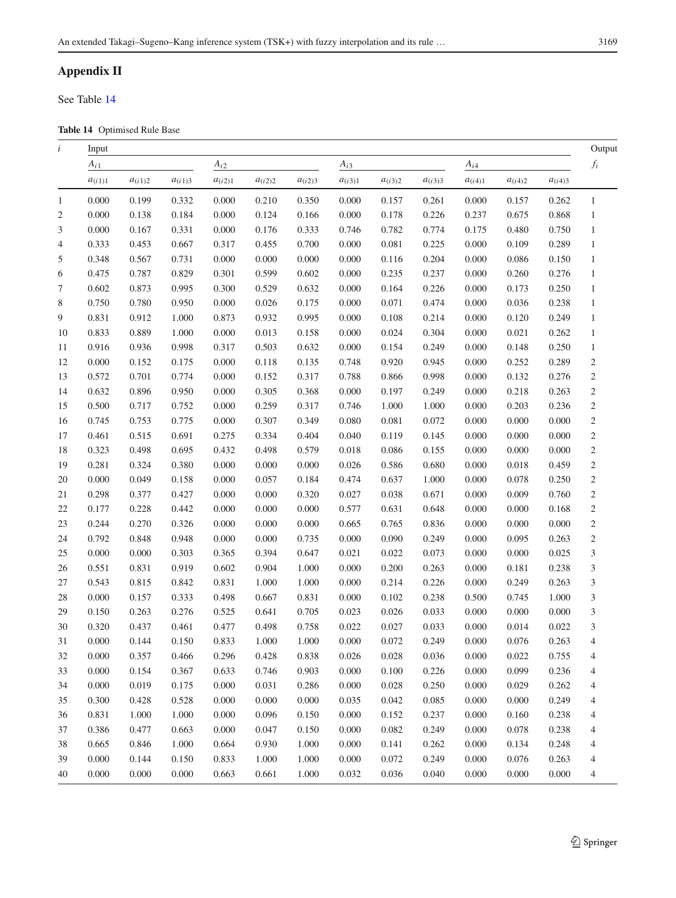## **Appendix II**

See Table [14](#page-14-0)

<span id="page-14-0"></span>**Table 14** Optimised Rule Base

| i              | Input       |             |             |             |             |             |             |             |             |             |             |             | Output                  |
|----------------|-------------|-------------|-------------|-------------|-------------|-------------|-------------|-------------|-------------|-------------|-------------|-------------|-------------------------|
|                | $A_{i1}$    |             |             | $A_{i2}$    |             |             | $A_{i3}$    |             |             | $A_{i4}$    |             |             | $\mathfrak{f}_i$        |
|                | $a_{(i1)1}$ | $a_{(i1)2}$ | $a_{(i1)3}$ | $a_{(i2)1}$ | $a_{(i2)2}$ | $a_{(i2)3}$ | $a_{(i3)1}$ | $a_{(i3)2}$ | $a_{(i3)3}$ | $a_{(i4)1}$ | $a_{(i4)2}$ | $a_{(i4)3}$ |                         |
| 1              | 0.000       | 0.199       | 0.332       | 0.000       | 0.210       | 0.350       | 0.000       | 0.157       | 0.261       | 0.000       | 0.157       | 0.262       | $\mathbf{1}$            |
| $\overline{c}$ | 0.000       | 0.138       | 0.184       | 0.000       | 0.124       | 0.166       | 0.000       | 0.178       | 0.226       | 0.237       | 0.675       | 0.868       | $\mathbf{1}$            |
| 3              | 0.000       | 0.167       | 0.331       | 0.000       | 0.176       | 0.333       | 0.746       | 0.782       | 0.774       | 0.175       | 0.480       | 0.750       | $\mathbf{1}$            |
| 4              | 0.333       | 0.453       | 0.667       | 0.317       | 0.455       | 0.700       | 0.000       | 0.081       | 0.225       | 0.000       | 0.109       | 0.289       | $\mathbf{1}$            |
| 5              | 0.348       | 0.567       | 0.731       | 0.000       | 0.000       | 0.000       | 0.000       | 0.116       | 0.204       | 0.000       | 0.086       | 0.150       | $\mathbf{1}$            |
| 6              | 0.475       | 0.787       | 0.829       | 0.301       | 0.599       | 0.602       | 0.000       | 0.235       | 0.237       | 0.000       | 0.260       | 0.276       | $\mathbf{1}$            |
| 7              | 0.602       | 0.873       | 0.995       | 0.300       | 0.529       | 0.632       | 0.000       | 0.164       | 0.226       | 0.000       | 0.173       | 0.250       | $\mathbf{1}$            |
| 8              | 0.750       | 0.780       | 0.950       | 0.000       | 0.026       | 0.175       | 0.000       | 0.071       | 0.474       | 0.000       | 0.036       | 0.238       | $1\,$                   |
| 9              | 0.831       | 0.912       | 1.000       | 0.873       | 0.932       | 0.995       | 0.000       | 0.108       | 0.214       | 0.000       | 0.120       | 0.249       | $\mathbf{1}$            |
| 10             | 0.833       | 0.889       | 1.000       | 0.000       | 0.013       | 0.158       | 0.000       | 0.024       | 0.304       | 0.000       | 0.021       | 0.262       | $\mathbf{1}$            |
| 11             | 0.916       | 0.936       | 0.998       | 0.317       | 0.503       | 0.632       | 0.000       | 0.154       | 0.249       | 0.000       | 0.148       | 0.250       | $\mathbf{1}$            |
| 12             | 0.000       | 0.152       | 0.175       | 0.000       | 0.118       | 0.135       | 0.748       | 0.920       | 0.945       | 0.000       | 0.252       | 0.289       | $\sqrt{2}$              |
| 13             | 0.572       | 0.701       | 0.774       | 0.000       | 0.152       | 0.317       | 0.788       | 0.866       | 0.998       | 0.000       | 0.132       | 0.276       | $\overline{c}$          |
| 14             | 0.632       | 0.896       | 0.950       | 0.000       | 0.305       | 0.368       | 0.000       | 0.197       | 0.249       | 0.000       | 0.218       | 0.263       | $\sqrt{2}$              |
| 15             | 0.500       | 0.717       | 0.752       | 0.000       | 0.259       | 0.317       | 0.746       | 1.000       | 1.000       | 0.000       | 0.203       | 0.236       | $\sqrt{2}$              |
| 16             | 0.745       | 0.753       | 0.775       | 0.000       | 0.307       | 0.349       | 0.080       | 0.081       | 0.072       | 0.000       | 0.000       | 0.000       | $\sqrt{2}$              |
| 17             | 0.461       | 0.515       | 0.691       | 0.275       | 0.334       | 0.404       | 0.040       | 0.119       | 0.145       | 0.000       | 0.000       | 0.000       | $\sqrt{2}$              |
| 18             | 0.323       | 0.498       | 0.695       | 0.432       | 0.498       | 0.579       | 0.018       | 0.086       | 0.155       | 0.000       | 0.000       | 0.000       | $\overline{c}$          |
| 19             | 0.281       | 0.324       | 0.380       | 0.000       | 0.000       | 0.000       | 0.026       | 0.586       | 0.680       | 0.000       | 0.018       | 0.459       | $\overline{c}$          |
| 20             | 0.000       | 0.049       | 0.158       | 0.000       | 0.057       | 0.184       | 0.474       | 0.637       | 1.000       | 0.000       | 0.078       | 0.250       | $\sqrt{2}$              |
| 21             | 0.298       | 0.377       | 0.427       | 0.000       | 0.000       | 0.320       | 0.027       | 0.038       | 0.671       | 0.000       | 0.009       | 0.760       | $\sqrt{2}$              |
| 22             | 0.177       | 0.228       | 0.442       | 0.000       | 0.000       | 0.000       | 0.577       | 0.631       | 0.648       | 0.000       | 0.000       | 0.168       | $\sqrt{2}$              |
| 23             | 0.244       | 0.270       | 0.326       | 0.000       | 0.000       | 0.000       | 0.665       | 0.765       | 0.836       | 0.000       | 0.000       | 0.000       | $\sqrt{2}$              |
| 24             | 0.792       | 0.848       | 0.948       | 0.000       | 0.000       | 0.735       | 0.000       | 0.090       | 0.249       | 0.000       | 0.095       | 0.263       | $\overline{c}$          |
| 25             | 0.000       | 0.000       | 0.303       | 0.365       | 0.394       | 0.647       | 0.021       | 0.022       | 0.073       | 0.000       | 0.000       | 0.025       | $\overline{3}$          |
| 26             | 0.551       | 0.831       | 0.919       | 0.602       | 0.904       | 1.000       | 0.000       | 0.200       | 0.263       | 0.000       | 0.181       | 0.238       | $\overline{\mathbf{3}}$ |
| $27\,$         | 0.543       | 0.815       | 0.842       | 0.831       | 1.000       | 1.000       | 0.000       | 0.214       | 0.226       | 0.000       | 0.249       | 0.263       | $\mathfrak{Z}$          |
| 28             | 0.000       | 0.157       | 0.333       | 0.498       | 0.667       | 0.831       | 0.000       | 0.102       | 0.238       | 0.500       | 0.745       | 1.000       | $\mathfrak{Z}$          |
| 29             | 0.150       | 0.263       | 0.276       | 0.525       | 0.641       | 0.705       | 0.023       | 0.026       | 0.033       | 0.000       | 0.000       | 0.000       | 3                       |
| 30             | 0.320       | 0.437       | 0.461       | 0.477       | 0.498       | 0.758       | 0.022       | 0.027       | 0.033       | 0.000       | 0.014       | 0.022       | $\mathfrak{Z}$          |
| 31             | 0.000       | 0.144       | 0.150       | 0.833       | 1.000       | 1.000       | 0.000       | 0.072       | 0.249       | 0.000       | 0.076       | 0.263       | $\overline{4}$          |
| 32             | 0.000       | 0.357       | 0.466       | 0.296       | 0.428       | 0.838       | 0.026       | 0.028       | 0.036       | 0.000       | 0.022       | 0.755       | 4                       |
| 33             | 0.000       | 0.154       | 0.367       | 0.633       | 0.746       | 0.903       | 0.000       | 0.100       | 0.226       | 0.000       | 0.099       | 0.236       | 4                       |
| 34             | 0.000       | 0.019       | 0.175       | 0.000       | 0.031       | 0.286       | 0.000       | 0.028       | 0.250       | 0.000       | 0.029       | 0.262       | 4                       |
| 35             | 0.300       | 0.428       | 0.528       | 0.000       | 0.000       | 0.000       | 0.035       | 0.042       | 0.085       | 0.000       | 0.000       | 0.249       | 4                       |
| 36             | 0.831       | 1.000       | 1.000       | 0.000       | 0.096       | 0.150       | 0.000       | 0.152       | 0.237       | 0.000       | 0.160       | 0.238       | 4                       |
| 37             | 0.386       | 0.477       | 0.663       | 0.000       | 0.047       | 0.150       | 0.000       | 0.082       | 0.249       | 0.000       | 0.078       | 0.238       | 4                       |
| 38             | 0.665       | 0.846       | 1.000       | 0.664       | 0.930       | 1.000       | 0.000       | 0.141       | 0.262       | 0.000       | 0.134       | 0.248       | 4                       |
| 39             | 0.000       | 0.144       | 0.150       | 0.833       | 1.000       | 1.000       | 0.000       | 0.072       | 0.249       | 0.000       | 0.076       | 0.263       | 4                       |
| 40             | 0.000       | 0.000       | 0.000       | 0.663       | 0.661       | 1.000       | 0.032       | 0.036       | 0.040       | 0.000       | 0.000       | 0.000       | 4                       |